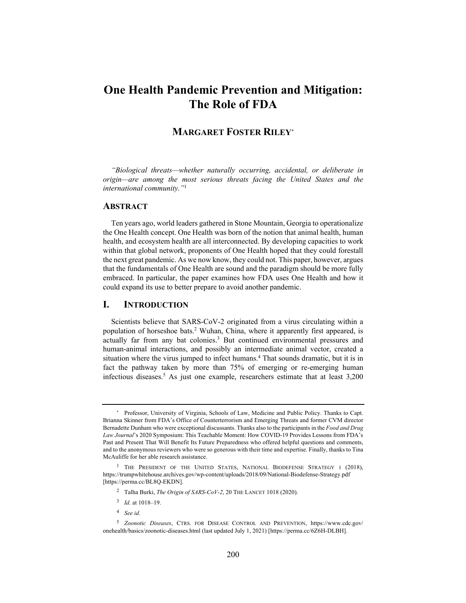# **One Health Pandemic Prevention and Mitigation: The Role of FDA**

## **MARGARET FOSTER RILEY\***

*"Biological threats—whether naturally occurring, accidental, or deliberate in origin—are among the most serious threats facing the United States and the international community."*<sup>1</sup>

## **ABSTRACT**

Ten years ago, world leaders gathered in Stone Mountain, Georgia to operationalize the One Health concept. One Health was born of the notion that animal health, human health, and ecosystem health are all interconnected. By developing capacities to work within that global network, proponents of One Health hoped that they could forestall the next great pandemic. As we now know, they could not. This paper, however, argues that the fundamentals of One Health are sound and the paradigm should be more fully embraced. In particular, the paper examines how FDA uses One Health and how it could expand its use to better prepare to avoid another pandemic.

## **I. INTRODUCTION**

Scientists believe that SARS-CoV-2 originated from a virus circulating within a population of horseshoe bats.<sup>2</sup> Wuhan, China, where it apparently first appeared, is actually far from any bat colonies.<sup>3</sup> But continued environmental pressures and human-animal interactions, and possibly an intermediate animal vector, created a situation where the virus jumped to infect humans.<sup>4</sup> That sounds dramatic, but it is in fact the pathway taken by more than 75% of emerging or re-emerging human infectious diseases.5 As just one example, researchers estimate that at least 3,200

- 2 Talha Burki, *The Origin of SARS-CoV-2*, 20 THE LANCET 1018 (2020).
- <sup>3</sup> *Id.* at 1018–19.
- <sup>4</sup> *See id.*

<sup>\*</sup> Professor, University of Virginia, Schools of Law, Medicine and Public Policy. Thanks to Capt. Brianna Skinner from FDA's Office of Counterterrorism and Emerging Threats and former CVM director Bernadette Dunham who were exceptional discussants. Thanks also to the participants in the *Food and Drug Law Journal*'s 2020 Symposium: This Teachable Moment: How COVID-19 Provides Lessons from FDA's Past and Present That Will Benefit Its Future Preparedness who offered helpful questions and comments, and to the anonymous reviewers who were so generous with their time and expertise. Finally, thanks to Tina McAuliffe for her able research assistance.

<sup>&</sup>lt;sup>1</sup> THE PRESIDENT OF THE UNITED STATES, NATIONAL BIODEFENSE STRATEGY I (2018), https://trumpwhitehouse.archives.gov/wp-content/uploads/2018/09/National-Biodefense-Strategy.pdf [https://perma.cc/BL8Q-EKDN].

<sup>5</sup> *Zoonotic Diseases*, CTRS. FOR DISEASE CONTROL AND PREVENTION, https://www.cdc.gov/ onehealth/basics/zoonotic-diseases.html (last updated July 1, 2021) [https://perma.cc/6Z6H-DLBH].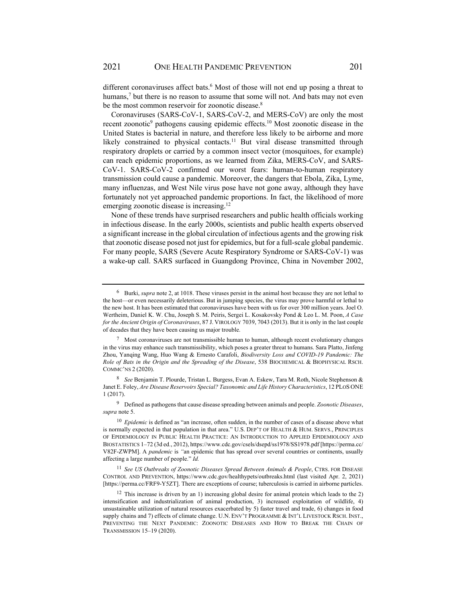different coronaviruses affect bats.<sup>6</sup> Most of those will not end up posing a threat to humans,<sup>7</sup> but there is no reason to assume that some will not. And bats may not even be the most common reservoir for zoonotic disease.<sup>8</sup>

Coronaviruses (SARS-CoV-1, SARS-CoV-2, and MERS-CoV) are only the most recent zoonotic<sup>9</sup> pathogens causing epidemic effects.<sup>10</sup> Most zoonotic disease in the United States is bacterial in nature, and therefore less likely to be airborne and more likely constrained to physical contacts.<sup>11</sup> But viral disease transmitted through respiratory droplets or carried by a common insect vector (mosquitoes, for example) can reach epidemic proportions, as we learned from Zika, MERS-CoV, and SARS-CoV-1. SARS-CoV-2 confirmed our worst fears: human-to-human respiratory transmission could cause a pandemic. Moreover, the dangers that Ebola, Zika, Lyme, many influenzas, and West Nile virus pose have not gone away, although they have fortunately not yet approached pandemic proportions. In fact, the likelihood of more emerging zoonotic disease is increasing.<sup>12</sup>

None of these trends have surprised researchers and public health officials working in infectious disease. In the early 2000s, scientists and public health experts observed a significant increase in the global circulation of infectious agents and the growing risk that zoonotic disease posed not just for epidemics, but for a full-scale global pandemic. For many people, SARS (Severe Acute Respiratory Syndrome or SARS-CoV-1) was a wake-up call. SARS surfaced in Guangdong Province, China in November 2002,

<sup>6</sup> Burki, *supra* note 2, at 1018. These viruses persist in the animal host because they are not lethal to the host—or even necessarily deleterious. But in jumping species, the virus may prove harmful or lethal to the new host. It has been estimated that coronaviruses have been with us for over 300 million years. Joel O. Wertheim, Daniel K. W. Chu, Joseph S. M. Peiris, Sergei L. Kosakovsky Pond & Leo L. M. Poon, *A Case for the Ancient Origin of Coronaviruses*, 87 J. VIROLOGY 7039, 7043 (2013). But it is only in the last couple of decades that they have been causing us major trouble.

 $\frac{7}{10}$  Most coronaviruses are not transmissible human to human, although recent evolutionary changes in the virus may enhance such transmissibility, which poses a greater threat to humans. Sara Platto, Jinfeng Zhou, Yanqing Wang, Huo Wang & Ernesto Carafoli, *Biodiversity Loss and COVID-19 Pandemic: The Role of Bats in the Origin and the Spreading of the Disease*, 538 BIOCHEMICAL & BIOPHYSICAL RSCH. COMMC'NS 2 (2020).

<sup>8</sup> *See* Benjamin T. Plourde, Tristan L. Burgess, Evan A. Eskew, Tara M. Roth, Nicole Stephenson & Janet E. Foley, *Are Disease Reservoirs Special? Taxonomic and Life History Characteristics*, 12 PLOS ONE 1 (2017).

<sup>9</sup> Defined as pathogens that cause disease spreading between animals and people. *Zoonotic Diseases*, *supra* note 5.

<sup>10</sup> *Epidemic* is defined as "an increase, often sudden, in the number of cases of a disease above what is normally expected in that population in that area." U.S. DEP'T OF HEALTH & HUM. SERVS., PRINCIPLES OF EPIDEMIOLOGY IN PUBLIC HEALTH PRACTICE: AN INTRODUCTION TO APPLIED EPIDEMIOLOGY AND BIOSTATISTICS 1–72 (3d ed., 2012), https://www.cdc.gov/csels/dsepd/ss1978/SS1978.pdf [https://perma.cc/ V82F-ZWPM]. A *pandemic* is *"*an epidemic that has spread over several countries or continents, usually affecting a large number of people." *Id.*

<sup>11</sup> *See US Outbreaks of Zoonotic Diseases Spread Between Animals & People*, CTRS. FOR DISEASE CONTROL AND PREVENTION, https://www.cdc.gov/healthypets/outbreaks.html (last visited Apr. 2, 2021) [https://perma.cc/FRF9-Y5ZT]. There are exceptions of course; tuberculosis is carried in airborne particles.

<sup>&</sup>lt;sup>12</sup> This increase is driven by an 1) increasing global desire for animal protein which leads to the 2) intensification and industrialization of animal production, 3) increased exploitation of wildlife, 4) unsustainable utilization of natural resources exacerbated by 5) faster travel and trade, 6) changes in food supply chains and 7) effects of climate change. U.N. ENV'T PROGRAMME & INT'L LIVESTOCK RSCH. INST., PREVENTING THE NEXT PANDEMIC: ZOONOTIC DISEASES AND HOW TO BREAK THE CHAIN OF TRANSMISSION 15–19 (2020).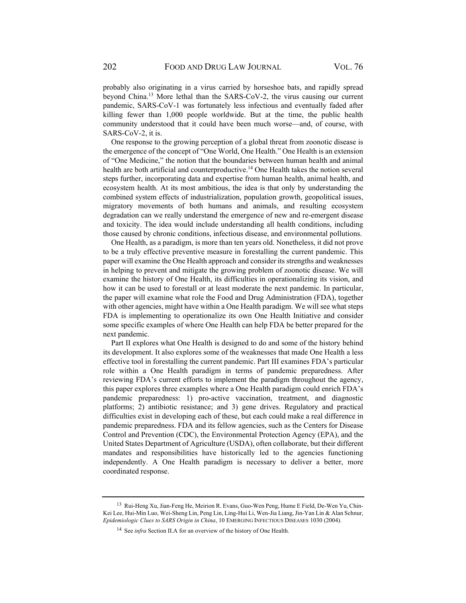probably also originating in a virus carried by horseshoe bats, and rapidly spread beyond China.13 More lethal than the SARS-CoV-2, the virus causing our current pandemic, SARS-CoV-1 was fortunately less infectious and eventually faded after killing fewer than 1,000 people worldwide. But at the time, the public health community understood that it could have been much worse—and, of course, with SARS-CoV-2, it is.

One response to the growing perception of a global threat from zoonotic disease is the emergence of the concept of "One World, One Health." One Health is an extension of "One Medicine," the notion that the boundaries between human health and animal health are both artificial and counterproductive.<sup>14</sup> One Health takes the notion several steps further, incorporating data and expertise from human health, animal health, and ecosystem health. At its most ambitious, the idea is that only by understanding the combined system effects of industrialization, population growth, geopolitical issues, migratory movements of both humans and animals, and resulting ecosystem degradation can we really understand the emergence of new and re-emergent disease and toxicity. The idea would include understanding all health conditions, including those caused by chronic conditions, infectious disease, and environmental pollutions.

One Health, as a paradigm, is more than ten years old. Nonetheless, it did not prove to be a truly effective preventive measure in forestalling the current pandemic. This paper will examine the One Health approach and consider its strengths and weaknesses in helping to prevent and mitigate the growing problem of zoonotic disease. We will examine the history of One Health, its difficulties in operationalizing its vision, and how it can be used to forestall or at least moderate the next pandemic. In particular, the paper will examine what role the Food and Drug Administration (FDA), together with other agencies, might have within a One Health paradigm. We will see what steps FDA is implementing to operationalize its own One Health Initiative and consider some specific examples of where One Health can help FDA be better prepared for the next pandemic.

Part II explores what One Health is designed to do and some of the history behind its development. It also explores some of the weaknesses that made One Health a less effective tool in forestalling the current pandemic. Part III examines FDA's particular role within a One Health paradigm in terms of pandemic preparedness. After reviewing FDA's current efforts to implement the paradigm throughout the agency, this paper explores three examples where a One Health paradigm could enrich FDA's pandemic preparedness: 1) pro-active vaccination, treatment, and diagnostic platforms; 2) antibiotic resistance; and 3) gene drives. Regulatory and practical difficulties exist in developing each of these, but each could make a real difference in pandemic preparedness. FDA and its fellow agencies, such as the Centers for Disease Control and Prevention (CDC), the Environmental Protection Agency (EPA), and the United States Department of Agriculture (USDA), often collaborate, but their different mandates and responsibilities have historically led to the agencies functioning independently. A One Health paradigm is necessary to deliver a better, more coordinated response.

<sup>13</sup> Rui-Heng Xu, Jian-Feng He, Meirion R. Evans, Guo-Wen Peng, Hume E Field, De-Wen Yu, Chin-Kei Lee, Hui-Min Luo, Wei-Sheng Lin, Peng Lin, Ling-Hui Li, Wen-Jia Liang, Jin-Yan Lin & Alan Schnur, *Epidemiologic Clues to SARS Origin in China*, 10 EMERGING INFECTIOUS DISEASES 1030 (2004).

<sup>14</sup> See *infra* Section II.A for an overview of the history of One Health.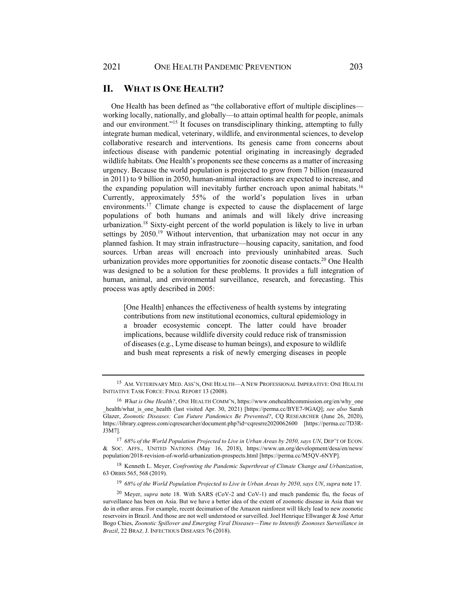## **II. WHAT IS ONE HEALTH?**

One Health has been defined as "the collaborative effort of multiple disciplines working locally, nationally, and globally—to attain optimal health for people, animals and our environment."15 It focuses on transdisciplinary thinking, attempting to fully integrate human medical, veterinary, wildlife, and environmental sciences, to develop collaborative research and interventions. Its genesis came from concerns about infectious disease with pandemic potential originating in increasingly degraded wildlife habitats. One Health's proponents see these concerns as a matter of increasing urgency. Because the world population is projected to grow from 7 billion (measured in 2011) to 9 billion in 2050, human-animal interactions are expected to increase, and the expanding population will inevitably further encroach upon animal habitats.<sup>16</sup> Currently, approximately 55% of the world's population lives in urban environments.<sup>17</sup> Climate change is expected to cause the displacement of large populations of both humans and animals and will likely drive increasing urbanization.18 Sixty-eight percent of the world population is likely to live in urban settings by 2050.<sup>19</sup> Without intervention, that urbanization may not occur in any planned fashion. It may strain infrastructure—housing capacity, sanitation, and food sources. Urban areas will encroach into previously uninhabited areas. Such urbanization provides more opportunities for zoonotic disease contacts.20 One Health was designed to be a solution for these problems. It provides a full integration of human, animal, and environmental surveillance, research, and forecasting. This process was aptly described in 2005:

[One Health] enhances the effectiveness of health systems by integrating contributions from new institutional economics, cultural epidemiology in a broader ecosystemic concept. The latter could have broader implications, because wildlife diversity could reduce risk of transmission of diseases (e.g., Lyme disease to human beings), and exposure to wildlife and bush meat represents a risk of newly emerging diseases in people

<sup>17</sup> *68% of the World Population Projected to Live in Urban Areas by 2050, says UN*, DEP'T OF ECON. & SOC. AFFS., UNITED NATIONS (May 16, 2018), https://www.un.org/development/desa/en/news/ population/2018-revision-of-world-urbanization-prospects.html [https://perma.cc/M5QV-6NYP].

18 Kenneth L. Meyer, *Confronting the Pandemic Superthreat of Climate Change and Urbanization*, 63 ORBIS 565, 568 (2019).

<sup>19</sup> *68% of the World Population Projected to Live in Urban Areas by 2050, says UN*, *supra* note 17.

<sup>15</sup> AM. VETERINARY MED. ASS'N, ONE HEALTH—A NEW PROFESSIONAL IMPERATIVE: ONE HEALTH INITIATIVE TASK FORCE: FINAL REPORT 13 (2008).

<sup>&</sup>lt;sup>16</sup> What is One Health?, ONE HEALTH COMM'N, https://www.onehealthcommission.org/en/why\_one \_health/what\_is\_one\_health (last visited Apr. 30, 2021) [https://perma.cc/BYE7-9GAQ]; *see also* Sarah Glazer, *Zoonotic Diseases: Can Future Pandemics Be Prevented?*, CQ RESEARCHER (June 26, 2020), https://library.cqpress.com/cqresearcher/document.php?id=cqresrre2020062600 [https://perma.cc/7D3R-J3M7].

<sup>20</sup> Meyer, *supra* note 18. With SARS (CoV-2 and CoV-1) and much pandemic flu, the focus of surveillance has been on Asia. But we have a better idea of the extent of zoonotic disease in Asia than we do in other areas. For example, recent decimation of the Amazon rainforest will likely lead to new zoonotic reservoirs in Brazil. And those are not well understood or surveilled. Joel Henrique Ellwanger & José Artur Bogo Chies, *Zoonotic Spillover and Emerging Viral Diseases—Time to Intensify Zoonoses Surveillance in Brazil*, 22 BRAZ. J. INFECTIOUS DISEASES 76 (2018).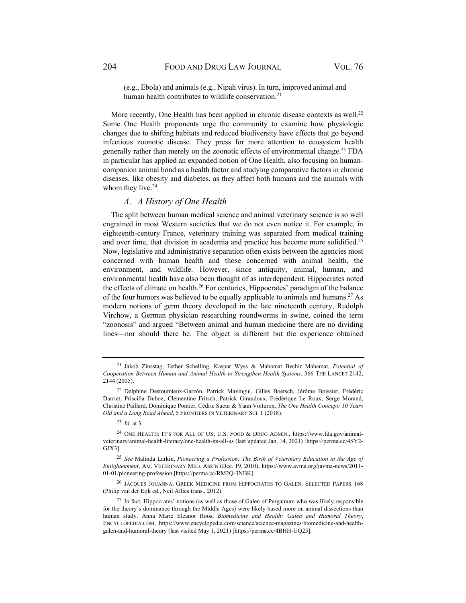(e.g., Ebola) and animals (e.g., Nipah virus). In turn, improved animal and human health contributes to wildlife conservation.<sup>21</sup>

More recently, One Health has been applied in chronic disease contexts as well.<sup>22</sup> Some One Health proponents urge the community to examine how physiologic changes due to shifting habitats and reduced biodiversity have effects that go beyond infectious zoonotic disease. They press for more attention to ecosystem health generally rather than merely on the zoonotic effects of environmental change.<sup>23</sup> FDA in particular has applied an expanded notion of One Health, also focusing on humancompanion animal bond as a health factor and studying comparative factors in chronic diseases, like obesity and diabetes, as they affect both humans and the animals with whom they live.<sup>24</sup>

## *A. A History of One Health*

The split between human medical science and animal veterinary science is so well engrained in most Western societies that we do not even notice it. For example, in eighteenth-century France, veterinary training was separated from medical training and over time, that division in academia and practice has become more solidified.25 Now, legislative and administrative separation often exists between the agencies most concerned with human health and those concerned with animal health, the environment, and wildlife. However, since antiquity, animal, human, and environmental health have also been thought of as interdependent. Hippocrates noted the effects of climate on health.<sup>26</sup> For centuries, Hippocrates' paradigm of the balance of the four humors was believed to be equally applicable to animals and humans.27 As modern notions of germ theory developed in the late nineteenth century, Rudolph Virchow, a German physician researching roundworms in swine, coined the term "zoonosis" and argued "Between animal and human medicine there are no dividing lines—nor should there be. The object is different but the experience obtained

<sup>21</sup> Jakob Zinsstag, Esther Schelling, Kaspar Wyss & Mahamat Bechir Mahamat, *Potential of Cooperation Between Human and Animal Health to Strengthen Health Systems*, 366 THE LANCET 2142, 2144 (2005).

<sup>22</sup> Delphine Destoumieux-Garzón, Patrick Mavingui, Gilles Boetsch, Jérôme Boissier, Frédéric Darriet, Priscilla Duboz, Clémentine Fritsch, Patrick Giraudoux, Frédérique Le Roux, Serge Morand, Christine Paillard, Dominique Pontier, Cédric Sueur & Yann Voituron, *The One Health Concept: 10 Years Old and a Long Road Ahead*, 5 FRONTIERS IN VETERINARY SCI. 1 (2018).

<sup>23</sup> *Id.* at 3.

<sup>24</sup> ONE HEALTH: IT'S FOR ALL OF US, U.S. FOOD & DRUG ADMIN., https://www.fda.gov/animalveterinary/animal-health-literacy/one-health-its-all-us (last updated Jan. 14, 2021) [https://perma.cc/4SY2- GJX3].

<sup>25</sup> *See* Malinda Larkin, *Pioneering a Profession: The Birth of Veterinary Education in the Age of Enlightenment*, AM. VETERINARY MED. ASS'N (Dec. 19, 2010), https://www.avma.org/javma-news/2011- 01-01/pioneering-profession [https://perma.cc/RM2Q-3NBK].

<sup>26</sup> JACQUES JOUANNA, GREEK MEDICINE FROM HIPPOCRATES TO GALEN: SELECTED PAPERS 168 (Philip van der Eijk ed., Neil Allies trans., 2012).

 $27$  In fact, Hippocrates' notions (as well as those of Galen of Pergamum who was likely responsible for the theory's dominance through the Middle Ages) were likely based more on animal dissections than human study. Anna Marie Eleanor Roos, *Biomedicine and Health: Galen and Humoral Theory*, ENCYCLOPEDIA.COM, https://www.encyclopedia.com/science/science-magazines/biomedicine-and-healthgalen-and-humoral-theory (last visited May 1, 2021) [https://perma.cc/4BHH-UQ25].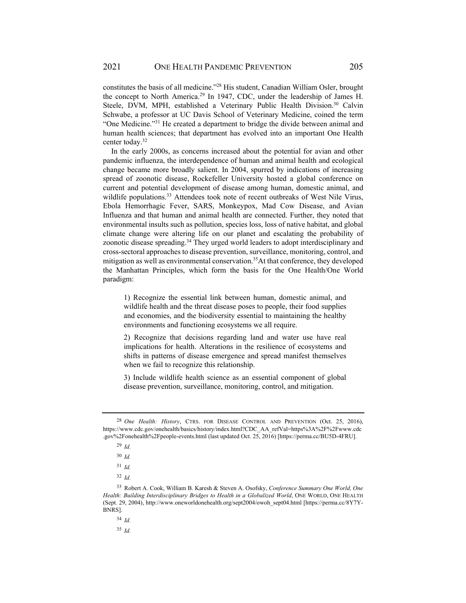constitutes the basis of all medicine."28 His student, Canadian William Osler, brought the concept to North America.29 In 1947, CDC, under the leadership of James H. Steele, DVM, MPH, established a Veterinary Public Health Division.<sup>30</sup> Calvin Schwabe, a professor at UC Davis School of Veterinary Medicine, coined the term "One Medicine."31 He created a department to bridge the divide between animal and human health sciences; that department has evolved into an important One Health center today.32

In the early 2000s, as concerns increased about the potential for avian and other pandemic influenza, the interdependence of human and animal health and ecological change became more broadly salient. In 2004, spurred by indications of increasing spread of zoonotic disease, Rockefeller University hosted a global conference on current and potential development of disease among human, domestic animal, and wildlife populations.<sup>33</sup> Attendees took note of recent outbreaks of West Nile Virus, Ebola Hemorrhagic Fever, SARS, Monkeypox, Mad Cow Disease, and Avian Influenza and that human and animal health are connected. Further, they noted that environmental insults such as pollution, species loss, loss of native habitat, and global climate change were altering life on our planet and escalating the probability of zoonotic disease spreading.<sup>34</sup> They urged world leaders to adopt interdisciplinary and cross-sectoral approaches to disease prevention, surveillance, monitoring, control, and mitigation as well as environmental conservation.<sup>35</sup>At that conference, they developed the Manhattan Principles, which form the basis for the One Health/One World paradigm:

1) Recognize the essential link between human, domestic animal, and wildlife health and the threat disease poses to people, their food supplies and economies, and the biodiversity essential to maintaining the healthy environments and functioning ecosystems we all require.

2) Recognize that decisions regarding land and water use have real implications for health. Alterations in the resilience of ecosystems and shifts in patterns of disease emergence and spread manifest themselves when we fail to recognize this relationship.

3) Include wildlife health science as an essential component of global disease prevention, surveillance, monitoring, control, and mitigation.

<sup>28</sup> *One Health: History*, CTRS. FOR DISEASE CONTROL AND PREVENTION (Oct. 25, 2016), https://www.cdc.gov/onehealth/basics/history/index.html?CDC\_AA\_refVal=https%3A%2F%2Fwww.cdc .gov%2Fonehealth%2Fpeople-events.html (last updated Oct. 25, 2016) [https://perma.cc/BU5D-4FRU].

<sup>29</sup> *Id.*

<sup>30</sup> *Id.*

<sup>31</sup> *Id.*

<sup>32</sup> *Id.*

<sup>33</sup> Robert A. Cook, William B. Karesh & Steven A. Osofsky, *Conference Summary One World, One*  Health: Building Interdisciplinary Bridges to Health in a Globalized World, ONE WORLD, ONE HEALTH (Sept. 29, 2004), http://www.oneworldonehealth.org/sept2004/owoh\_sept04.html [https://perma.cc/8Y7Y-BNRS]

<sup>34</sup> *Id.*

<sup>35</sup> *Id.*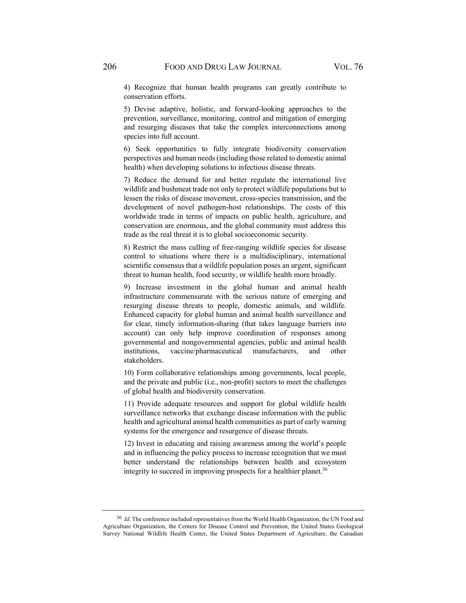4) Recognize that human health programs can greatly contribute to conservation efforts.

5) Devise adaptive, holistic, and forward-looking approaches to the prevention, surveillance, monitoring, control and mitigation of emerging and resurging diseases that take the complex interconnections among species into full account.

6) Seek opportunities to fully integrate biodiversity conservation perspectives and human needs (including those related to domestic animal health) when developing solutions to infectious disease threats.

7) Reduce the demand for and better regulate the international live wildlife and bushmeat trade not only to protect wildlife populations but to lessen the risks of disease movement, cross-species transmission, and the development of novel pathogen-host relationships. The costs of this worldwide trade in terms of impacts on public health, agriculture, and conservation are enormous, and the global community must address this trade as the real threat it is to global socioeconomic security.

8) Restrict the mass culling of free-ranging wildlife species for disease control to situations where there is a multidisciplinary, international scientific consensus that a wildlife population poses an urgent, significant threat to human health, food security, or wildlife health more broadly.

9) Increase investment in the global human and animal health infrastructure commensurate with the serious nature of emerging and resurging disease threats to people, domestic animals, and wildlife. Enhanced capacity for global human and animal health surveillance and for clear, timely information-sharing (that takes language barriers into account) can only help improve coordination of responses among governmental and nongovernmental agencies, public and animal health institutions, vaccine/pharmaceutical manufacturers, and other stakeholders.

10) Form collaborative relationships among governments, local people, and the private and public (i.e., non-profit) sectors to meet the challenges of global health and biodiversity conservation.

11) Provide adequate resources and support for global wildlife health surveillance networks that exchange disease information with the public health and agricultural animal health communities as part of early warning systems for the emergence and resurgence of disease threats.

12) Invest in educating and raising awareness among the world's people and in influencing the policy process to increase recognition that we must better understand the relationships between health and ecosystem integrity to succeed in improving prospects for a healthier planet.<sup>36</sup>

<sup>36</sup> *Id.* The conference included representatives from the World Health Organization, the UN Food and Agriculture Organization, the Centers for Disease Control and Prevention, the United States Geological Survey National Wildlife Health Center, the United States Department of Agriculture, the Canadian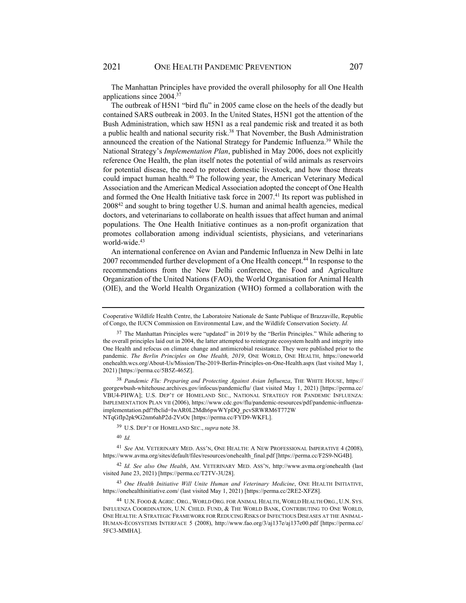The Manhattan Principles have provided the overall philosophy for all One Health applications since 2004.37

The outbreak of H5N1 "bird flu" in 2005 came close on the heels of the deadly but contained SARS outbreak in 2003. In the United States, H5N1 got the attention of the Bush Administration, which saw H5N1 as a real pandemic risk and treated it as both a public health and national security risk.<sup>38</sup> That November, the Bush Administration announced the creation of the National Strategy for Pandemic Influenza.39 While the National Strategy's *Implementation Plan*, published in May 2006, does not explicitly reference One Health, the plan itself notes the potential of wild animals as reservoirs for potential disease, the need to protect domestic livestock, and how those threats could impact human health.<sup>40</sup> The following year, the American Veterinary Medical Association and the American Medical Association adopted the concept of One Health and formed the One Health Initiative task force in 2007.<sup>41</sup> Its report was published in 200842 and sought to bring together U.S. human and animal health agencies, medical doctors, and veterinarians to collaborate on health issues that affect human and animal populations. The One Health Initiative continues as a non-profit organization that promotes collaboration among individual scientists, physicians, and veterinarians world-wide.<sup>43</sup>

An international conference on Avian and Pandemic Influenza in New Delhi in late 2007 recommended further development of a One Health concept.<sup>44</sup> In response to the recommendations from the New Delhi conference, the Food and Agriculture Organization of the United Nations (FAO), the World Organisation for Animal Health (OIE), and the World Health Organization (WHO) formed a collaboration with the

<sup>38</sup> *Pandemic Flu: Preparing and Protecting Against Avian Influenza*, THE WHITE HOUSE, https:// georgewbush-whitehouse.archives.gov/infocus/pandemicflu/ (last visited May 1, 2021) [https://perma.cc/ VBU4-PHWA]; U.S. DEP'T OF HOMELAND SEC., NATIONAL STRATEGY FOR PANDEMIC INFLUENZA: IMPLEMENTATION PLAN VII (2006), https://www.cdc.gov/flu/pandemic-resources/pdf/pandemic-influenzaimplementation.pdf?fbclid=IwAR0L2Mdh6pwWYpDQ\_pcvSRWRM6T772W NTqGfIp2pk9G2nm6ahP2d-2VsOc [https://perma.cc/FYD9-WKFL].

39 U.S. DEP'T OF HOMELAND SEC., *supra* note 38.

<sup>40</sup> *Id.*

<sup>41</sup> *See* AM. VETERINARY MED. ASS'N, ONE HEALTH: A NEW PROFESSIONAL IMPERATIVE 4 (2008), https://www.avma.org/sites/default/files/resources/onehealth\_final.pdf [https://perma.cc/F2S9-NG4B].

<sup>42</sup> *Id. See also One Health*, AM. VETERINARY MED. ASS'N, http://www.avma.org/onehealth (last visited June 23, 2021) [https://perma.cc/T2TV-3U28].

<sup>43</sup> *One Health Initiative Will Unite Human and Veterinary Medicine*, ONE HEALTH INITIATIVE, https://onehealthinitiative.com/ (last visited May 1, 2021) [https://perma.cc/2RE2-XFZ8].

44 U.N. FOOD & AGRIC. ORG., WORLD ORG. FOR ANIMAL HEALTH, WORLD HEALTH ORG., U.N. SYS. INFLUENZA COORDINATION, U.N. CHILD. FUND, & THE WORLD BANK, CONTRIBUTING TO ONE WORLD, ONE HEALTH: A STRATEGIC FRAMEWORK FOR REDUCING RISKS OF INFECTIOUS DISEASES AT THE ANIMAL-HUMAN-ECOSYSTEMS INTERFACE 5 (2008), http://www.fao.org/3/aj137e/aj137e00.pdf [https://perma.cc/ 5FC3-MMHA].

Cooperative Wildlife Health Centre, the Laboratoire Nationale de Sante Publique of Brazzaville, Republic of Congo, the IUCN Commission on Environmental Law, and the Wildlife Conservation Society. *Id.*

 $37$  The Manhattan Principles were "updated" in 2019 by the "Berlin Principles." While adhering to the overall principles laid out in 2004, the latter attempted to reintegrate ecosystem health and integrity into One Health and refocus on climate change and antimicrobial resistance. They were published prior to the pandemic. *The Berlin Principles on One Health, 2019*, ONE WORLD, ONE HEALTH, https://oneworld onehealth.wcs.org/About-Us/Mission/The-2019-Berlin-Principles-on-One-Health.aspx (last visited May 1, 2021) [https://perma.cc/5B5Z-465Z].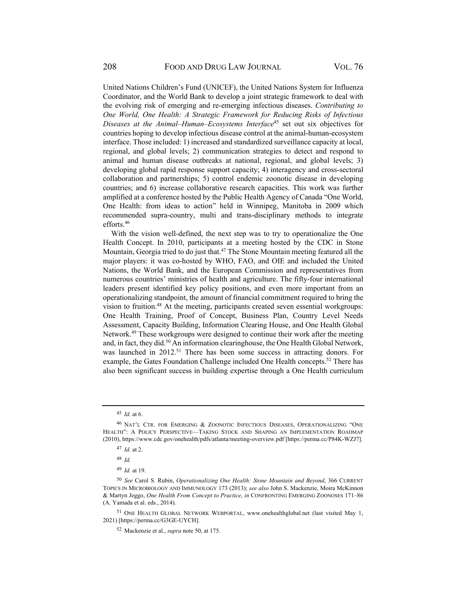United Nations Children's Fund (UNICEF), the United Nations System for Influenza Coordinator, and the World Bank to develop a joint strategic framework to deal with the evolving risk of emerging and re-emerging infectious diseases. *Contributing to One World, One Health: A Strategic Framework for Reducing Risks of Infectious Diseases at the Animal–Human–Ecosystems Interface*45 set out six objectives for countries hoping to develop infectious disease control at the animal-human-ecosystem interface. Those included: 1) increased and standardized surveillance capacity at local, regional, and global levels; 2) communication strategies to detect and respond to animal and human disease outbreaks at national, regional, and global levels; 3) developing global rapid response support capacity; 4) interagency and cross-sectoral collaboration and partnerships; 5) control endemic zoonotic disease in developing countries; and 6) increase collaborative research capacities. This work was further amplified at a conference hosted by the Public Health Agency of Canada "One World, One Health: from ideas to action" held in Winnipeg, Manitoba in 2009 which recommended supra-country, multi and trans-disciplinary methods to integrate efforts.46

With the vision well-defined, the next step was to try to operationalize the One Health Concept. In 2010, participants at a meeting hosted by the CDC in Stone Mountain, Georgia tried to do just that.<sup>47</sup> The Stone Mountain meeting featured all the major players: it was co-hosted by WHO, FAO, and OIE and included the United Nations, the World Bank, and the European Commission and representatives from numerous countries' ministries of health and agriculture. The fifty-four international leaders present identified key policy positions, and even more important from an operationalizing standpoint, the amount of financial commitment required to bring the vision to fruition.48 At the meeting, participants created seven essential workgroups: One Health Training, Proof of Concept, Business Plan, Country Level Needs Assessment, Capacity Building, Information Clearing House, and One Health Global Network.49 These workgroups were designed to continue their work after the meeting and, in fact, they did.<sup>50</sup> An information clearinghouse, the One Health Global Network, was launched in 2012.<sup>51</sup> There has been some success in attracting donors. For example, the Gates Foundation Challenge included One Health concepts.<sup>52</sup> There has also been significant success in building expertise through a One Health curriculum

<sup>45</sup> *Id.* at 6.

<sup>46</sup> NAT'L CTR. FOR EMERGING & ZOONOTIC INFECTIOUS DISEASES, OPERATIONALIZING "ONE HEALTH": A POLICY PERSPECTIVE—TAKING STOCK AND SHAPING AN IMPLEMENTATION ROADMAP (2010), https://www.cdc.gov/onehealth/pdfs/atlanta/meeting-overview.pdf [https://perma.cc/P84K-WZJ7].

<sup>47</sup> *Id.* at 2.

<sup>48</sup> *Id.*

<sup>49</sup> *Id.* at 19.

<sup>50</sup> *See* Carol S. Rubin, *Operationalizing One Health: Stone Mountain and Beyond*, 366 CURRENT TOPICS IN MICROBIOLOGY AND IMMUNOLOGY 173 (2013); *see also* John S. Mackenzie, Moira McKinnon & Martyn Jeggo, *One Health From Concept to Practice*, *in* CONFRONTING EMERGING ZOONOSES 171–86 (A. Yamada et al. eds., 2014).

<sup>51</sup> ONE HEALTH GLOBAL NETWORK WEBPORTAL, www.onehealthglobal.net (last visited May 1, 2021) [https://perma.cc/G3GE-UYCH].

<sup>52</sup> Mackenzie et al., *supra* note 50, at 175.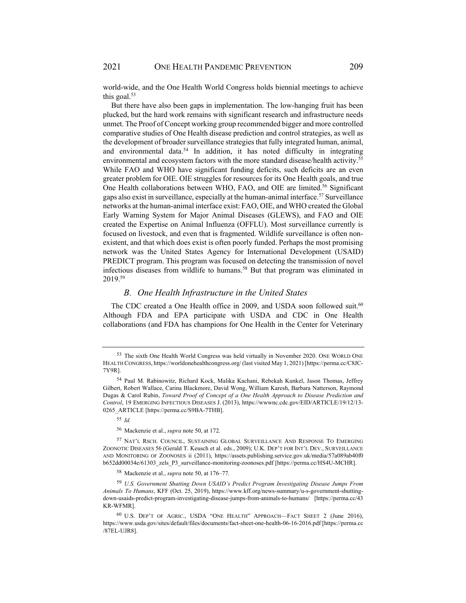world-wide, and the One Health World Congress holds biennial meetings to achieve this goal. $53$ 

But there have also been gaps in implementation. The low-hanging fruit has been plucked, but the hard work remains with significant research and infrastructure needs unmet. The Proof of Concept working group recommended bigger and more controlled comparative studies of One Health disease prediction and control strategies, as well as the development of broader surveillance strategies that fully integrated human, animal, and environmental data.<sup>54</sup> In addition, it has noted difficulty in integrating environmental and ecosystem factors with the more standard disease/health activity.<sup>55</sup> While FAO and WHO have significant funding deficits, such deficits are an even greater problem for OIE. OIE struggles for resources for its One Health goals, and true One Health collaborations between WHO, FAO, and OIE are limited.<sup>56</sup> Significant gaps also exist in surveillance, especially at the human-animal interface.<sup>57</sup> Surveillance networks at the human-animal interface exist: FAO, OIE, and WHO created the Global Early Warning System for Major Animal Diseases (GLEWS), and FAO and OIE created the Expertise on Animal Influenza (OFFLU). Most surveillance currently is focused on livestock, and even that is fragmented. Wildlife surveillance is often nonexistent, and that which does exist is often poorly funded. Perhaps the most promising network was the United States Agency for International Development (USAID) PREDICT program. This program was focused on detecting the transmission of novel infectious diseases from wildlife to humans.<sup>58</sup> But that program was eliminated in 2019.59

## *B. One Health Infrastructure in the United States*

The CDC created a One Health office in 2009, and USDA soon followed suit.<sup>60</sup> Although FDA and EPA participate with USDA and CDC in One Health collaborations (and FDA has champions for One Health in the Center for Veterinary

<sup>53</sup> The sixth One Health World Congress was held virtually in November 2020. ONE WORLD ONE HEALTH CONGRESS, https://worldonehealthcongress.org/ (last visited May 1, 2021) [https://perma.cc/C8JC-7Y9R].

<sup>54</sup> Paul M. Rabinowitz, Richard Kock, Malika Kachani, Rebekah Kunkel, Jason Thomas, Jeffrey Gilbert, Robert Wallace, Carina Blackmore, David Wong, William Karesh, Barbara Natterson, Raymond Dugas & Carol Rubin, *Toward Proof of Concept of a One Health Approach to Disease Prediction and Control*, 19 EMERGING INFECTIOUS DISEASES J. (2013), https://wwwnc.cdc.gov/EID/ARTICLE/19/12/13- 0265\_ARTICLE [https://perma.cc/S9BA-7THB].

<sup>55</sup> *Id.*

<sup>56</sup> Mackenzie et al., *supra* note 50, at 172.

<sup>57</sup> NAT'L RSCH. COUNCIL, SUSTAINING GLOBAL SURVEILLANCE AND RESPONSE TO EMERGING ZOONOTIC DISEASES 56 (Gerald T. Keusch et al. eds., 2009); U.K. DEP'T FOR INT'L DEV., SURVEILLANCE AND MONITORING OF ZOONOSES ii (2011), https://assets.publishing.service.gov.uk/media/57a089ab40f0 b652dd00034e/61303\_zels\_P3\_surveillance-monitoring-zoonoses.pdf [https://perma.cc/HS4U-MCHR].

<sup>58</sup> Mackenzie et al., *supra* note 50, at 176–77.

<sup>59</sup> *U.S. Government Shutting Down USAID's Predict Program Investigating Disease Jumps From Animals To Humans*, KFF (Oct. 25, 2019), https://www.kff.org/news-summary/u-s-government-shuttingdown-usaids-predict-program-investigating-disease-jumps-from-animals-to-humans/ [https://perma.cc/43 KR-WFMR].

<sup>60</sup> U.S. DEP'T OF AGRIC., USDA "ONE HEALTH" APPROACH—FACT SHEET 2 (June 2016), https://www.usda.gov/sites/default/files/documents/fact-sheet-one-health-06-16-2016.pdf [https://perma.cc /87EL-UJR8].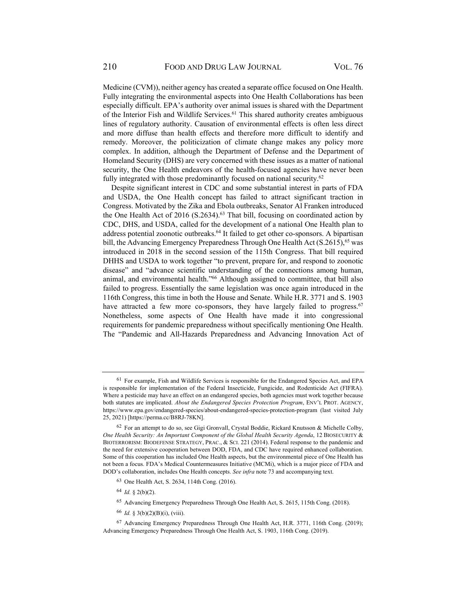Medicine (CVM)), neither agency has created a separate office focused on One Health. Fully integrating the environmental aspects into One Health Collaborations has been especially difficult. EPA's authority over animal issues is shared with the Department of the Interior Fish and Wildlife Services.61 This shared authority creates ambiguous lines of regulatory authority. Causation of environmental effects is often less direct and more diffuse than health effects and therefore more difficult to identify and remedy. Moreover, the politicization of climate change makes any policy more complex. In addition, although the Department of Defense and the Department of Homeland Security (DHS) are very concerned with these issues as a matter of national security, the One Health endeavors of the health-focused agencies have never been fully integrated with those predominantly focused on national security.<sup>62</sup>

Despite significant interest in CDC and some substantial interest in parts of FDA and USDA, the One Health concept has failed to attract significant traction in Congress. Motivated by the Zika and Ebola outbreaks, Senator Al Franken introduced the One Health Act of 2016 (S.2634).<sup>63</sup> That bill, focusing on coordinated action by CDC, DHS, and USDA, called for the development of a national One Health plan to address potential zoonotic outbreaks.<sup>64</sup> It failed to get other co-sponsors. A bipartisan bill, the Advancing Emergency Preparedness Through One Health Act  $(S.2615)$ , <sup>65</sup> was introduced in 2018 in the second session of the 115th Congress. That bill required DHHS and USDA to work together "to prevent, prepare for, and respond to zoonotic disease" and "advance scientific understanding of the connections among human, animal, and environmental health."66 Although assigned to committee, that bill also failed to progress. Essentially the same legislation was once again introduced in the 116th Congress, this time in both the House and Senate. While H.R. 3771 and S. 1903 have attracted a few more co-sponsors, they have largely failed to progress.<sup>67</sup> Nonetheless, some aspects of One Health have made it into congressional requirements for pandemic preparedness without specifically mentioning One Health. The "Pandemic and All-Hazards Preparedness and Advancing Innovation Act of

- 65 Advancing Emergency Preparedness Through One Health Act, S. 2615, 115th Cong. (2018).
- <sup>66</sup> *Id.* § 3(b)(2)(B)(i), (viii).

<sup>61</sup> For example, Fish and Wildlife Services is responsible for the Endangered Species Act, and EPA is responsible for implementation of the Federal Insecticide, Fungicide, and Rodenticide Act (FIFRA). Where a pesticide may have an effect on an endangered species, both agencies must work together because both statutes are implicated. *About the Endangered Species Protection Program*, ENV'L PROT. AGENCY, https://www.epa.gov/endangered-species/about-endangered-species-protection-program (last visited July 25, 2021) [https://perma.cc/B8RJ-78KN].

<sup>62</sup> For an attempt to do so, see Gigi Gronvall, Crystal Boddie, Rickard Knutsson & Michelle Colby, *One Health Security: An Important Component of the Global Health Security Agenda*, 12 BIOSECURITY & BIOTERRORISM: BIODEFENSE STRATEGY, PRAC., & SCI. 221 (2014). Federal response to the pandemic and the need for extensive cooperation between DOD, FDA, and CDC have required enhanced collaboration. Some of this cooperation has included One Health aspects, but the environmental piece of One Health has not been a focus. FDA's Medical Countermeasures Initiative (MCMi), which is a major piece of FDA and DOD's collaboration, includes One Health concepts. *See infra* note 73 and accompanying text.

<sup>63</sup> One Health Act, S. 2634, 114th Cong. (2016).

<sup>64</sup> *Id.* § 2(b)(2).

<sup>67</sup> Advancing Emergency Preparedness Through One Health Act, H.R. 3771, 116th Cong. (2019); Advancing Emergency Preparedness Through One Health Act, S. 1903, 116th Cong. (2019).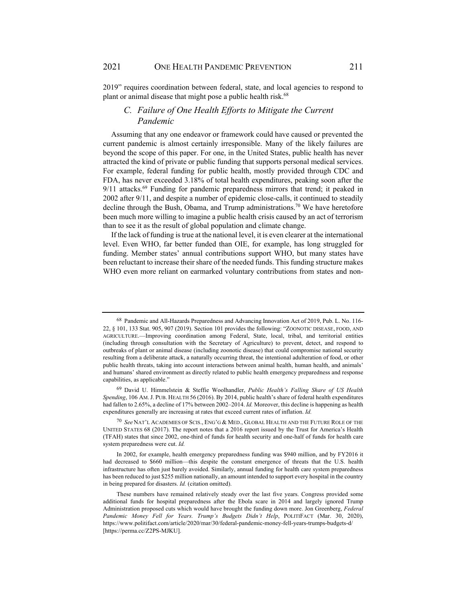2019" requires coordination between federal, state, and local agencies to respond to plant or animal disease that might pose a public health risk.<sup>68</sup>

## *C. Failure of One Health Efforts to Mitigate the Current Pandemic*

Assuming that any one endeavor or framework could have caused or prevented the current pandemic is almost certainly irresponsible. Many of the likely failures are beyond the scope of this paper. For one, in the United States, public health has never attracted the kind of private or public funding that supports personal medical services. For example, federal funding for public health, mostly provided through CDC and FDA, has never exceeded 3.18% of total health expenditures, peaking soon after the 9/11 attacks.<sup>69</sup> Funding for pandemic preparedness mirrors that trend; it peaked in 2002 after 9/11, and despite a number of epidemic close-calls, it continued to steadily decline through the Bush, Obama, and Trump administrations.<sup>70</sup> We have heretofore been much more willing to imagine a public health crisis caused by an act of terrorism than to see it as the result of global population and climate change.

If the lack of funding is true at the national level, it is even clearer at the international level. Even WHO, far better funded than OIE, for example, has long struggled for funding. Member states' annual contributions support WHO, but many states have been reluctant to increase their share of the needed funds. This funding structure makes WHO even more reliant on earmarked voluntary contributions from states and non-

<sup>68</sup> Pandemic and All-Hazards Preparedness and Advancing Innovation Act of 2019, Pub. L. No. 116- 22, § 101, 133 Stat. 905, 907 (2019). Section 101 provides the following: "ZOONOTIC DISEASE, FOOD, AND AGRICULTURE.—Improving coordination among Federal, State, local, tribal, and territorial entities (including through consultation with the Secretary of Agriculture) to prevent, detect, and respond to outbreaks of plant or animal disease (including zoonotic disease) that could compromise national security resulting from a deliberate attack, a naturally occurring threat, the intentional adulteration of food, or other public health threats, taking into account interactions between animal health, human health, and animals' and humans' shared environment as directly related to public health emergency preparedness and response capabilities, as applicable."

<sup>69</sup> David U. Himmelstein & Steffie Woolhandler, *Public Health's Falling Share of US Health Spending*, 106 AM.J. PUB. HEALTH 56 (2016). By 2014, public health's share of federal health expenditures had fallen to 2.65%, a decline of 17% between 2002–2014. *Id.* Moreover, this decline is happening as health expenditures generally are increasing at rates that exceed current rates of inflation. *Id.* 

<sup>70</sup> *See* NAT'L ACADEMIES OF SCIS., ENG'G & MED., GLOBAL HEALTH AND THE FUTURE ROLE OF THE UNITED STATES 68 (2017). The report notes that a 2016 report issued by the Trust for America's Health (TFAH) states that since 2002, one-third of funds for health security and one-half of funds for health care system preparedness were cut. *Id.*

In 2002, for example, health emergency preparedness funding was \$940 million, and by FY2016 it had decreased to \$660 million—this despite the constant emergence of threats that the U.S. health infrastructure has often just barely avoided. Similarly, annual funding for health care system preparedness has been reduced to just \$255 million nationally, an amount intended to support every hospital in the country in being prepared for disasters. *Id.* (citation omitted).

These numbers have remained relatively steady over the last five years. Congress provided some additional funds for hospital preparedness after the Ebola scare in 2014 and largely ignored Trump Administration proposed cuts which would have brought the funding down more. Jon Greenberg, *Federal Pandemic Money Fell for Years. Trump's Budgets Didn't Help*, POLITIFACT (Mar. 30, 2020), https://www.politifact.com/article/2020/mar/30/federal-pandemic-money-fell-years-trumps-budgets-d/ [https://perma.cc/Z2PS-MJKU].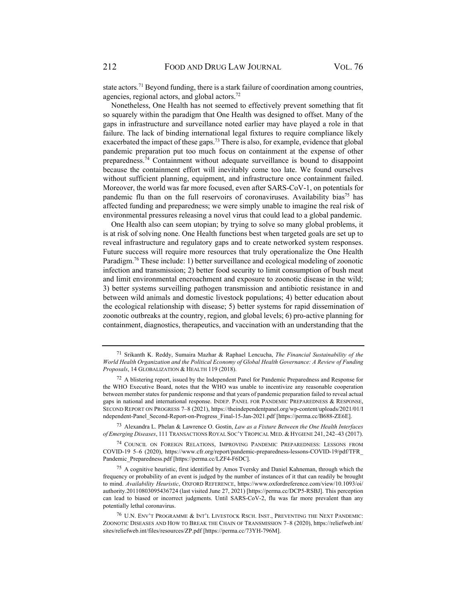state actors.<sup>71</sup> Beyond funding, there is a stark failure of coordination among countries, agencies, regional actors, and global actors.72

Nonetheless, One Health has not seemed to effectively prevent something that fit so squarely within the paradigm that One Health was designed to offset. Many of the gaps in infrastructure and surveillance noted earlier may have played a role in that failure. The lack of binding international legal fixtures to require compliance likely exacerbated the impact of these gaps.<sup>73</sup> There is also, for example, evidence that global pandemic preparation put too much focus on containment at the expense of other preparedness.74 Containment without adequate surveillance is bound to disappoint because the containment effort will inevitably come too late. We found ourselves without sufficient planning, equipment, and infrastructure once containment failed. Moreover, the world was far more focused, even after SARS-CoV-1, on potentials for pandemic flu than on the full reservoirs of coronaviruses. Availability bias<sup>75</sup> has affected funding and preparedness; we were simply unable to imagine the real risk of environmental pressures releasing a novel virus that could lead to a global pandemic.

One Health also can seem utopian; by trying to solve so many global problems, it is at risk of solving none. One Health functions best when targeted goals are set up to reveal infrastructure and regulatory gaps and to create networked system responses. Future success will require more resources that truly operationalize the One Health Paradigm.76 These include: 1) better surveillance and ecological modeling of zoonotic infection and transmission; 2) better food security to limit consumption of bush meat and limit environmental encroachment and exposure to zoonotic disease in the wild; 3) better systems surveilling pathogen transmission and antibiotic resistance in and between wild animals and domestic livestock populations; 4) better education about the ecological relationship with disease; 5) better systems for rapid dissemination of zoonotic outbreaks at the country, region, and global levels; 6) pro-active planning for containment, diagnostics, therapeutics, and vaccination with an understanding that the

73 Alexandra L. Phelan & Lawrence O. Gostin, *Law as a Fixture Between the One Health Interfaces of Emerging Diseases*, 111 TRANSACTIONS ROYAL SOC'Y TROPICAL MED. & HYGIENE 241, 242–43 (2017).

74 COUNCIL ON FOREIGN RELATIONS, IMPROVING PANDEMIC PREPAREDNESS: LESSONS FROM COVID-19 5–6 (2020), https://www.cfr.org/report/pandemic-preparedness-lessons-COVID-19/pdf/TFR\_ Pandemic\_Preparedness.pdf [https://perma.cc/LZF4-F6DC].

<sup>71</sup> Srikanth K. Reddy, Sumaira Mazhar & Raphael Lencucha, *The Financial Sustainability of the World Health Organization and the Political Economy of Global Health Governance: A Review of Funding Proposals*, 14 GLOBALIZATION & HEALTH 119 (2018).

<sup>&</sup>lt;sup>72</sup> A blistering report, issued by the Independent Panel for Pandemic Preparedness and Response for the WHO Executive Board, notes that the WHO was unable to incentivize any reasonable cooperation between member states for pandemic response and that years of pandemic preparation failed to reveal actual gaps in national and international response. INDEP. PANEL FOR PANDEMIC PREPAREDNESS & RESPONSE, SECOND REPORT ON PROGRESS 7–8 (2021), https://theindependentpanel.org/wp-content/uploads/2021/01/I ndependent-Panel\_Second-Report-on-Progress\_Final-15-Jan-2021.pdf [https://perma.cc/B688-ZE6E].

<sup>75</sup> A cognitive heuristic, first identified by Amos Tversky and Daniel Kahneman, through which the frequency or probability of an event is judged by the number of instances of it that can readily be brought to mind. *Availability Heuristic*, OXFORD REFERENCE, https://www.oxfordreference.com/view/10.1093/oi/ authority.20110803095436724 (last visited June 27, 2021) [https://perma.cc/DCP5-RSBJ]. This perception can lead to biased or incorrect judgments. Until SARS-CoV-2, flu was far more prevalent than any potentially lethal coronavirus.

<sup>76</sup> U.N. ENV'T PROGRAMME & INT'L LIVESTOCK RSCH. INST., PREVENTING THE NEXT PANDEMIC: ZOONOTIC DISEASES AND HOW TO BREAK THE CHAIN OF TRANSMISSION 7–8 (2020), https://reliefweb.int/ sites/reliefweb.int/files/resources/ZP.pdf [https://perma.cc/73YH-796M].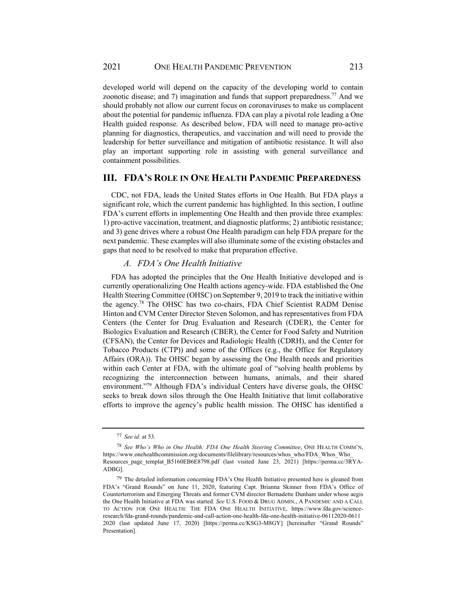developed world will depend on the capacity of the developing world to contain zoonotic disease; and 7) imagination and funds that support preparedness.77 And we should probably not allow our current focus on coronaviruses to make us complacent about the potential for pandemic influenza. FDA can play a pivotal role leading a One Health guided response. As described below, FDA will need to manage pro-active planning for diagnostics, therapeutics, and vaccination and will need to provide the leadership for better surveillance and mitigation of antibiotic resistance. It will also play an important supporting role in assisting with general surveillance and containment possibilities.

## **III. FDA'S ROLE IN ONE HEALTH PANDEMIC PREPAREDNESS**

CDC, not FDA, leads the United States efforts in One Health. But FDA plays a significant role, which the current pandemic has highlighted. In this section, I outline FDA's current efforts in implementing One Health and then provide three examples: 1) pro-active vaccination, treatment, and diagnostic platforms; 2) antibiotic resistance; and 3) gene drives where a robust One Health paradigm can help FDA prepare for the next pandemic. These examples will also illuminate some of the existing obstacles and gaps that need to be resolved to make that preparation effective.

## *A. FDA's One Health Initiative*

FDA has adopted the principles that the One Health Initiative developed and is currently operationalizing One Health actions agency-wide. FDA established the One Health Steering Committee (OHSC) on September 9, 2019 to track the initiative within the agency.78 The OHSC has two co-chairs, FDA Chief Scientist RADM Denise Hinton and CVM Center Director Steven Solomon, and has representatives from FDA Centers (the Center for Drug Evaluation and Research (CDER), the Center for Biologics Evaluation and Research (CBER), the Center for Food Safety and Nutrition (CFSAN), the Center for Devices and Radiologic Health (CDRH), and the Center for Tobacco Products (CTP)) and some of the Offices (e.g., the Office for Regulatory Affairs (ORA)). The OHSC began by assessing the One Health needs and priorities within each Center at FDA, with the ultimate goal of "solving health problems by recognizing the interconnection between humans, animals, and their shared environment."79 Although FDA's individual Centers have diverse goals, the OHSC seeks to break down silos through the One Health Initiative that limit collaborative efforts to improve the agency's public health mission. The OHSC has identified a

<sup>77</sup> *See id.* at 53.

<sup>78</sup> *See Who's Who in One Health: FDA One Health Steering Committee*, ONE HEALTH COMM'N, https://www.onehealthcommission.org/documents/filelibrary/resources/whos\_who/FDA\_Whos\_Who\_ Resources page templat B5160EB6E8798.pdf (last visited June 23, 2021) [https://perma.cc/3RYA-ADBG].

 $79$  The detailed information concerning FDA's One Health Initiative presented here is gleaned from FDA's "Grand Rounds" on June 11, 2020, featuring Capt. Brianna Skinner from FDA's Office of Counterterrorism and Emerging Threats and former CVM director Bernadette Dunham under whose aegis the One Health Initiative at FDA was started. *See* U.S. FOOD & DRUG ADMIN., A PANDEMIC AND A CALL TO ACTION FOR ONE HEALTH: THE FDA ONE HEALTH INITIATIVE, https://www.fda.gov/scienceresearch/fda-grand-rounds/pandemic-and-call-action-one-health-fda-one-health-initiative-06112020-0611 2020 (last updated June 17, 2020) [https://perma.cc/KSG3-M8GY] [hereinafter "Grand Rounds" Presentation].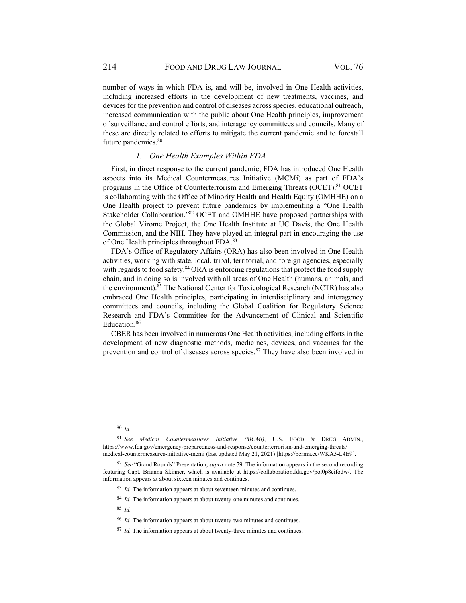number of ways in which FDA is, and will be, involved in One Health activities, including increased efforts in the development of new treatments, vaccines, and devices for the prevention and control of diseases across species, educational outreach, increased communication with the public about One Health principles, improvement of surveillance and control efforts, and interagency committees and councils. Many of these are directly related to efforts to mitigate the current pandemic and to forestall future pandemics.<sup>80</sup>

#### *1. One Health Examples Within FDA*

First, in direct response to the current pandemic, FDA has introduced One Health aspects into its Medical Countermeasures Initiative (MCMi) as part of FDA's programs in the Office of Counterterrorism and Emerging Threats (OCET).<sup>81</sup> OCET is collaborating with the Office of Minority Health and Health Equity (OMHHE) on a One Health project to prevent future pandemics by implementing a "One Health Stakeholder Collaboration."82 OCET and OMHHE have proposed partnerships with the Global Virome Project, the One Health Institute at UC Davis, the One Health Commission, and the NIH. They have played an integral part in encouraging the use of One Health principles throughout FDA.83

FDA's Office of Regulatory Affairs (ORA) has also been involved in One Health activities, working with state, local, tribal, territorial, and foreign agencies, especially with regards to food safety.<sup>84</sup> ORA is enforcing regulations that protect the food supply chain, and in doing so is involved with all areas of One Health (humans, animals, and the environment).85 The National Center for Toxicological Research (NCTR) has also embraced One Health principles, participating in interdisciplinary and interagency committees and councils, including the Global Coalition for Regulatory Science Research and FDA's Committee for the Advancement of Clinical and Scientific Education.86

CBER has been involved in numerous One Health activities, including efforts in the development of new diagnostic methods, medicines, devices, and vaccines for the prevention and control of diseases across species.87 They have also been involved in

<sup>80</sup> *Id.*

<sup>81</sup> *See Medical Countermeasures Initiative (MCMi)*, U.S. FOOD & DRUG ADMIN., https://www.fda.gov/emergency-preparedness-and-response/counterterrorism-and-emerging-threats/ medical-countermeasures-initiative-mcmi (last updated May 21, 2021) [https://perma.cc/WKA5-L4E9].

<sup>82</sup> *See* "Grand Rounds" Presentation, *supra* note 79. The information appears in the second recording featuring Capt. Brianna Skinner, which is available at https://collaboration.fda.gov/pol0p8cifodw/. The information appears at about sixteen minutes and continues.

<sup>83</sup> *Id.* The information appears at about seventeen minutes and continues.

<sup>&</sup>lt;sup>84</sup> *Id.* The information appears at about twenty-one minutes and continues.

<sup>85</sup> *Id.*

<sup>86</sup> *Id.* The information appears at about twenty-two minutes and continues.

<sup>87</sup> *Id.* The information appears at about twenty-three minutes and continues.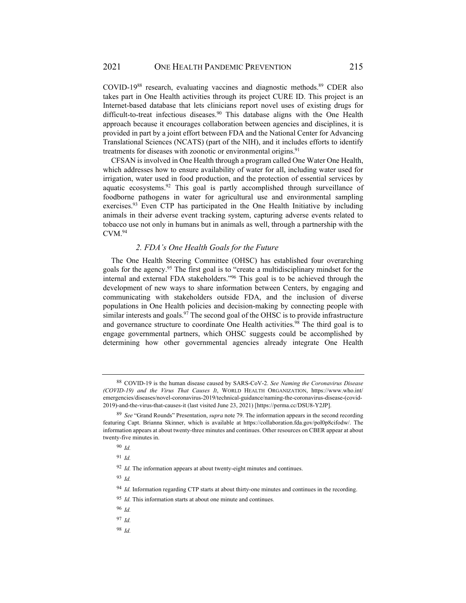COVID-19<sup>88</sup> research, evaluating vaccines and diagnostic methods.<sup>89</sup> CDER also takes part in One Health activities through its project CURE ID. This project is an Internet-based database that lets clinicians report novel uses of existing drugs for difficult-to-treat infectious diseases.<sup>90</sup> This database aligns with the One Health approach because it encourages collaboration between agencies and disciplines, it is provided in part by a joint effort between FDA and the National Center for Advancing Translational Sciences (NCATS) (part of the NIH), and it includes efforts to identify treatments for diseases with zoonotic or environmental origins.<sup>91</sup>

CFSAN is involved in One Health through a program called One Water One Health, which addresses how to ensure availability of water for all, including water used for irrigation, water used in food production, and the protection of essential services by aquatic ecosystems.92 This goal is partly accomplished through surveillance of foodborne pathogens in water for agricultural use and environmental sampling exercises.<sup>93</sup> Even CTP has participated in the One Health Initiative by including animals in their adverse event tracking system, capturing adverse events related to tobacco use not only in humans but in animals as well, through a partnership with the  $CVM.<sup>94</sup>$ 

#### *2. FDA's One Health Goals for the Future*

The One Health Steering Committee (OHSC) has established four overarching goals for the agency.95 The first goal is to "create a multidisciplinary mindset for the internal and external FDA stakeholders."96 This goal is to be achieved through the development of new ways to share information between Centers, by engaging and communicating with stakeholders outside FDA, and the inclusion of diverse populations in One Health policies and decision-making by connecting people with similar interests and goals.<sup>97</sup> The second goal of the OHSC is to provide infrastructure and governance structure to coordinate One Health activities.<sup>98</sup> The third goal is to engage governmental partners, which OHSC suggests could be accomplished by determining how other governmental agencies already integrate One Health

<sup>91</sup> *Id.*

<sup>92</sup> *Id.* The information appears at about twenty-eight minutes and continues.

<sup>93</sup> *Id.*

<sup>94</sup> *Id.* Information regarding CTP starts at about thirty-one minutes and continues in the recording.

<sup>95</sup> *Id.* This information starts at about one minute and continues.

<sup>96</sup> *Id.*

<sup>97</sup> *Id.*

<sup>98</sup> *Id.*

<sup>88</sup> COVID-19 is the human disease caused by SARS-CoV-2. *See Naming the Coronavirus Disease (COVID-19) and the Virus That Causes It*, WORLD HEALTH ORGANIZATION, https://www.who.int/ emergencies/diseases/novel-coronavirus-2019/technical-guidance/naming-the-coronavirus-disease-(covid-2019)-and-the-virus-that-causes-it (last visited June 23, 2021) [https://perma.cc/DSU8-Y2JP].

<sup>89</sup> *See* "Grand Rounds" Presentation, *supra* note 79. The information appears in the second recording featuring Capt. Brianna Skinner, which is available at https://collaboration.fda.gov/pol0p8cifodw/. The information appears at about twenty-three minutes and continues. Other resources on CBER appear at about twenty-five minutes in.

<sup>90</sup> *Id.*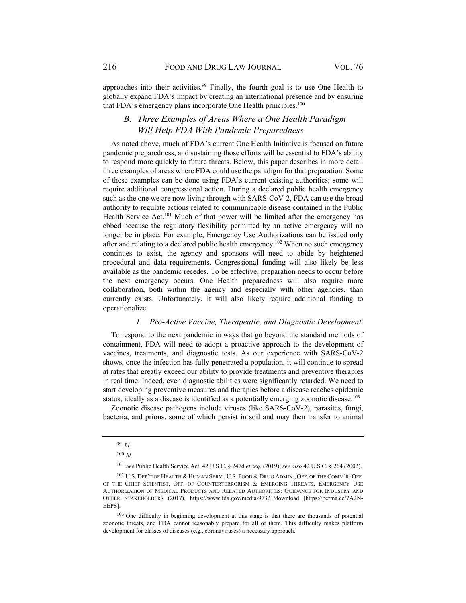approaches into their activities.<sup>99</sup> Finally, the fourth goal is to use One Health to globally expand FDA's impact by creating an international presence and by ensuring that FDA's emergency plans incorporate One Health principles.<sup>100</sup>

## *B. Three Examples of Areas Where a One Health Paradigm Will Help FDA With Pandemic Preparedness*

As noted above, much of FDA's current One Health Initiative is focused on future pandemic preparedness, and sustaining those efforts will be essential to FDA's ability to respond more quickly to future threats. Below, this paper describes in more detail three examples of areas where FDA could use the paradigm for that preparation. Some of these examples can be done using FDA's current existing authorities; some will require additional congressional action. During a declared public health emergency such as the one we are now living through with SARS-CoV-2, FDA can use the broad authority to regulate actions related to communicable disease contained in the Public Health Service Act.<sup>101</sup> Much of that power will be limited after the emergency has ebbed because the regulatory flexibility permitted by an active emergency will no longer be in place. For example, Emergency Use Authorizations can be issued only after and relating to a declared public health emergency.<sup>102</sup> When no such emergency continues to exist, the agency and sponsors will need to abide by heightened procedural and data requirements. Congressional funding will also likely be less available as the pandemic recedes. To be effective, preparation needs to occur before the next emergency occurs. One Health preparedness will also require more collaboration, both within the agency and especially with other agencies, than currently exists. Unfortunately, it will also likely require additional funding to operationalize.

#### *1. Pro-Active Vaccine, Therapeutic, and Diagnostic Development*

To respond to the next pandemic in ways that go beyond the standard methods of containment, FDA will need to adopt a proactive approach to the development of vaccines, treatments, and diagnostic tests. As our experience with SARS-CoV-2 shows, once the infection has fully penetrated a population, it will continue to spread at rates that greatly exceed our ability to provide treatments and preventive therapies in real time. Indeed, even diagnostic abilities were significantly retarded. We need to start developing preventive measures and therapies before a disease reaches epidemic status, ideally as a disease is identified as a potentially emerging zoonotic disease.<sup>103</sup>

Zoonotic disease pathogens include viruses (like SARS-CoV-2), parasites, fungi, bacteria, and prions, some of which persist in soil and may then transfer to animal

<sup>99</sup> *Id.*

<sup>100</sup> *Id.*

<sup>101</sup> *See* Public Health Service Act, 42 U.S.C. § 247d *et seq.* (2019); *see also* 42 U.S.C. § 264 (2002).

<sup>102</sup> U.S. DEP'T OF HEALTH & HUMAN SERV., U.S. FOOD & DRUG ADMIN., OFF. OF THE COMM'R, OFF. OF THE CHIEF SCIENTIST, OFF. OF COUNTERTERRORISM & EMERGING THREATS, EMERGENCY USE AUTHORIZATION OF MEDICAL PRODUCTS AND RELATED AUTHORITIES: GUIDANCE FOR INDUSTRY AND OTHER STAKEHOLDERS (2017), https://www.fda.gov/media/97321/download [https://perma.cc/7A2N-EEPS].

<sup>&</sup>lt;sup>103</sup> One difficulty in beginning development at this stage is that there are thousands of potential zoonotic threats, and FDA cannot reasonably prepare for all of them. This difficulty makes platform development for classes of diseases (e.g., coronaviruses) a necessary approach.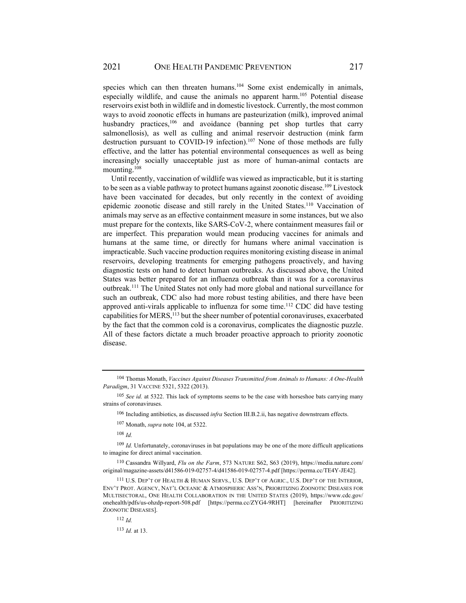species which can then threaten humans.<sup>104</sup> Some exist endemically in animals, especially wildlife, and cause the animals no apparent harm.105 Potential disease reservoirs exist both in wildlife and in domestic livestock. Currently, the most common ways to avoid zoonotic effects in humans are pasteurization (milk), improved animal husbandry practices,<sup>106</sup> and avoidance (banning pet shop turtles that carry salmonellosis), as well as culling and animal reservoir destruction (mink farm destruction pursuant to COVID-19 infection).107 None of those methods are fully effective, and the latter has potential environmental consequences as well as being increasingly socially unacceptable just as more of human-animal contacts are mounting.108

Until recently, vaccination of wildlife was viewed as impracticable, but it is starting to be seen as a viable pathway to protect humans against zoonotic disease.<sup>109</sup> Livestock have been vaccinated for decades, but only recently in the context of avoiding epidemic zoonotic disease and still rarely in the United States.<sup>110</sup> Vaccination of animals may serve as an effective containment measure in some instances, but we also must prepare for the contexts, like SARS-CoV-2, where containment measures fail or are imperfect. This preparation would mean producing vaccines for animals and humans at the same time, or directly for humans where animal vaccination is impracticable. Such vaccine production requires monitoring existing disease in animal reservoirs, developing treatments for emerging pathogens proactively, and having diagnostic tests on hand to detect human outbreaks. As discussed above, the United States was better prepared for an influenza outbreak than it was for a coronavirus outbreak.111 The United States not only had more global and national surveillance for such an outbreak, CDC also had more robust testing abilities, and there have been approved anti-virals applicable to influenza for some time.<sup>112</sup> CDC did have testing capabilities for MERS,<sup>113</sup> but the sheer number of potential coronaviruses, exacerbated by the fact that the common cold is a coronavirus, complicates the diagnostic puzzle. All of these factors dictate a much broader proactive approach to priority zoonotic disease.

106 Including antibiotics, as discussed *infra* Section III.B.2.ii, has negative downstream effects.

107 Monath, *supra* note 104, at 5322.

<sup>108</sup> *Id.*

<sup>109</sup> *Id.* Unfortunately, coronaviruses in bat populations may be one of the more difficult applications to imagine for direct animal vaccination.

110 Cassandra Willyard, *Flu on the Farm*, 573 NATURE S62, S63 (2019), https://media.nature.com/ original/magazine-assets/d41586-019-02757-4/d41586-019-02757-4.pdf [https://perma.cc/TE4Y-JE42].

<sup>111</sup> U.S. DEP'T OF HEALTH & HUMAN SERVS., U.S. DEP'T OF AGRIC., U.S. DEP'T OF THE INTERIOR, ENV'T PROT. AGENCY, NAT'L OCEANIC & ATMOSPHERIC ASS'N, PRIORITIZING ZOONOTIC DISEASES FOR MULTISECTORAL, ONE HEALTH COLLABORATION IN THE UNITED STATES (2019), https://www.cdc.gov/ onehealth/pdfs/us-ohzdp-report-508.pdf [https://perma.cc/ZYG4-9RHT] [hereinafter PRIORITIZING ZOONOTIC DISEASES].

<sup>104</sup> Thomas Monath, *Vaccines Against Diseases Transmitted from Animals to Humans: A One-Health Paradigm*, 31 VACCINE 5321, 5322 (2013).

<sup>105</sup> *See id.* at 5322. This lack of symptoms seems to be the case with horseshoe bats carrying many strains of coronaviruses.

<sup>112</sup> *Id.*

<sup>113</sup> *Id.* at 13.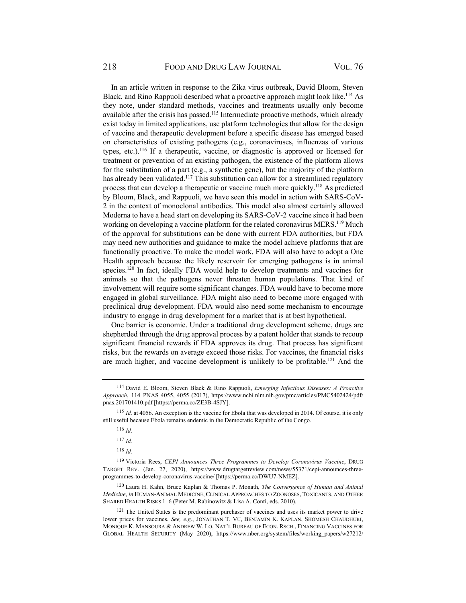In an article written in response to the Zika virus outbreak, David Bloom, Steven Black, and Rino Rappuoli described what a proactive approach might look like.<sup>114</sup> As they note, under standard methods, vaccines and treatments usually only become available after the crisis has passed.<sup>115</sup> Intermediate proactive methods, which already exist today in limited applications, use platform technologies that allow for the design of vaccine and therapeutic development before a specific disease has emerged based on characteristics of existing pathogens (e.g., coronaviruses, influenzas of various types, etc.).116 If a therapeutic, vaccine, or diagnostic is approved or licensed for treatment or prevention of an existing pathogen, the existence of the platform allows for the substitution of a part (e.g., a synthetic gene), but the majority of the platform has already been validated.<sup>117</sup> This substitution can allow for a streamlined regulatory process that can develop a therapeutic or vaccine much more quickly.118 As predicted by Bloom, Black, and Rappuoli, we have seen this model in action with SARS-CoV-2 in the context of monoclonal antibodies. This model also almost certainly allowed Moderna to have a head start on developing its SARS-CoV-2 vaccine since it had been working on developing a vaccine platform for the related coronavirus MERS.<sup>119</sup> Much of the approval for substitutions can be done with current FDA authorities, but FDA may need new authorities and guidance to make the model achieve platforms that are functionally proactive. To make the model work, FDA will also have to adopt a One Health approach because the likely reservoir for emerging pathogens is in animal species.<sup>120</sup> In fact, ideally FDA would help to develop treatments and vaccines for animals so that the pathogens never threaten human populations. That kind of involvement will require some significant changes. FDA would have to become more engaged in global surveillance. FDA might also need to become more engaged with preclinical drug development. FDA would also need some mechanism to encourage industry to engage in drug development for a market that is at best hypothetical.

One barrier is economic. Under a traditional drug development scheme, drugs are shepherded through the drug approval process by a patent holder that stands to recoup significant financial rewards if FDA approves its drug. That process has significant risks, but the rewards on average exceed those risks. For vaccines, the financial risks are much higher, and vaccine development is unlikely to be profitable.<sup>121</sup> And the

<sup>120</sup> Laura H. Kahn, Bruce Kaplan & Thomas P. Monath, *The Convergence of Human and Animal Medicine*, *in* HUMAN-ANIMAL MEDICINE, CLINICAL APPROACHES TO ZOONOSES, TOXICANTS, AND OTHER SHARED HEALTH RISKS 1–6 (Peter M. Rabinowitz & Lisa A. Conti, eds. 2010).

<sup>114</sup> David E. Bloom, Steven Black & Rino Rappuoli, *Emerging Infectious Diseases: A Proactive Approach*, 114 PNAS 4055, 4055 (2017), https://www.ncbi.nlm.nih.gov/pmc/articles/PMC5402424/pdf/ pnas.201701410.pdf [https://perma.cc/ZE3B-4SJY].

<sup>115</sup> *Id.* at 4056. An exception is the vaccine for Ebola that was developed in 2014. Of course, it is only still useful because Ebola remains endemic in the Democratic Republic of the Congo.

<sup>116</sup> *Id.*

<sup>117</sup> *Id.*

<sup>118</sup> *Id.*

<sup>119</sup> Victoria Rees, *CEPI Announces Three Programmes to Develop Coronavirus Vaccine*, DRUG TARGET REV. (Jan. 27, 2020), https://www.drugtargetreview.com/news/55371/cepi-announces-threeprogrammes-to-develop-coronavirus-vaccine/ [https://perma.cc/DWU7-NMEZ].

<sup>&</sup>lt;sup>121</sup> The United States is the predominant purchaser of vaccines and uses its market power to drive lower prices for vaccines. *See, e.g.*, JONATHAN T. VU, BENJAMIN K. KAPLAN, SHOMESH CHAUDHURI, MONIQUE K. MANSOURA & ANDREW W. LO, NAT'L BUREAU OF ECON. RSCH., FINANCING VACCINES FOR GLOBAL HEALTH SECURITY (May 2020), https://www.nber.org/system/files/working\_papers/w27212/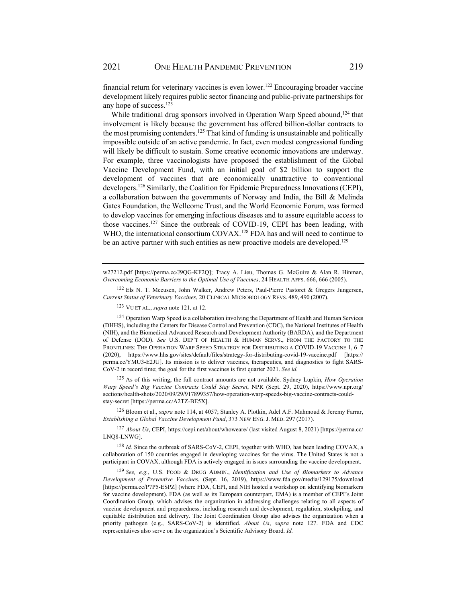financial return for veterinary vaccines is even lower.122 Encouraging broader vaccine development likely requires public sector financing and public-private partnerships for any hope of success.123

While traditional drug sponsors involved in Operation Warp Speed abound.<sup>124</sup> that involvement is likely because the government has offered billion-dollar contracts to the most promising contenders.<sup>125</sup> That kind of funding is unsustainable and politically impossible outside of an active pandemic. In fact, even modest congressional funding will likely be difficult to sustain. Some creative economic innovations are underway. For example, three vaccinologists have proposed the establishment of the Global Vaccine Development Fund, with an initial goal of \$2 billion to support the development of vaccines that are economically unattractive to conventional developers.126 Similarly, the Coalition for Epidemic Preparedness Innovations (CEPI), a collaboration between the governments of Norway and India, the Bill & Melinda Gates Foundation, the Wellcome Trust, and the World Economic Forum, was formed to develop vaccines for emerging infectious diseases and to assure equitable access to those vaccines.127 Since the outbreak of COVID-19, CEPI has been leading, with WHO, the international consortium COVAX.<sup>128</sup> FDA has and will need to continue to be an active partner with such entities as new proactive models are developed.<sup>129</sup>

w27212.pdf [https://perma.cc/J9QG-KF2Q]; Tracy A. Lieu, Thomas G. McGuire & Alan R. Hinman, *Overcoming Economic Barriers to the Optimal Use of Vaccines*, 24 HEALTH AFFS. 666, 666 (2005).

<sup>122</sup> Els N. T. Meeusen, John Walker, Andrew Peters, Paul-Pierre Pastoret & Gregers Jungersen, *Current Status of Veterinary Vaccines*, 20 CLINICAL MICROBIOLOGY REVS. 489, 490 (2007).

123 VU ET AL., *supra* note 121*,* at 12.

124 Operation Warp Speed is a collaboration involving the Department of Health and Human Services (DHHS), including the Centers for Disease Control and Prevention (CDC), the National Institutes of Health (NIH), and the Biomedical Advanced Research and Development Authority (BARDA), and the Department of Defense (DOD). *See* U.S. DEP'T OF HEALTH & HUMAN SERVS., FROM THE FACTORY TO THE FRONTLINES: THE OPERATION WARP SPEED STRATEGY FOR DISTRIBUTING A COVID-19 VACCINE 1, 6–7 (2020), https://www.hhs.gov/sites/default/files/strategy-for-distributing-covid-19-vaccine.pdf [https:// perma.cc/YMU3-E2JU]. Its mission is to deliver vaccines, therapeutics, and diagnostics to fight SARS-CoV-2 in record time; the goal for the first vaccines is first quarter 2021. *See id.*

125 As of this writing, the full contract amounts are not available. Sydney Lupkin, *How Operation Warp Speed's Big Vaccine Contracts Could Stay Secret*, NPR (Sept. 29, 2020), https://www.npr.org/ sections/health-shots/2020/09/29/917899357/how-operation-warp-speeds-big-vaccine-contracts-couldstay-secret [https://perma.cc/A2TZ-BE5X].

126 Bloom et al., *supra* note 114, at 4057; Stanley A. Plotkin, Adel A.F. Mahmoud & Jeremy Farrar, *Establishing a Global Vaccine Development Fund*, 373 NEW ENG. J. MED. 297 (2017).

<sup>127</sup> *About Us*, CEPI, https://cepi.net/about/whoweare/ (last visited August 8, 2021) [https://perma.cc/ LNQ8-LNWG].

<sup>128</sup> Id. Since the outbreak of SARS-CoV-2, CEPI, together with WHO, has been leading COVAX, a collaboration of 150 countries engaged in developing vaccines for the virus. The United States is not a participant in COVAX, although FDA is actively engaged in issues surrounding the vaccine development.

<sup>129</sup> *See, e.g.*, U.S. FOOD & DRUG ADMIN., *Identification and Use of Biomarkers to Advance Development of Preventive Vaccines*, (Sept. 16, 2019), https://www.fda.gov/media/129175/download [https://perma.cc/P7P5-ESPZ] (where FDA, CEPI, and NIH hosted a workshop on identifying biomarkers for vaccine development). FDA (as well as its European counterpart, EMA) is a member of CEPI's Joint Coordination Group, which advises the organization in addressing challenges relating to all aspects of vaccine development and preparedness, including research and development, regulation, stockpiling, and equitable distribution and delivery. The Joint Coordination Group also advises the organization when a priority pathogen (e.g., SARS-CoV-2) is identified. *About Us*, *supra* note 127. FDA and CDC representatives also serve on the organization's Scientific Advisory Board. *Id.*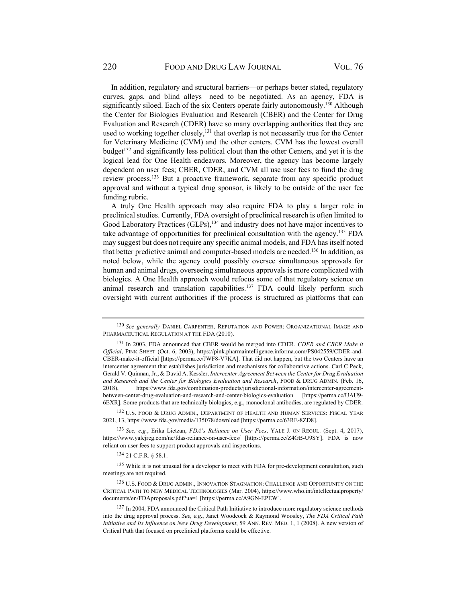In addition, regulatory and structural barriers—or perhaps better stated, regulatory curves, gaps, and blind alleys—need to be negotiated. As an agency, FDA is significantly siloed. Each of the six Centers operate fairly autonomously.<sup>130</sup> Although the Center for Biologics Evaluation and Research (CBER) and the Center for Drug Evaluation and Research (CDER) have so many overlapping authorities that they are used to working together closely, $131$  that overlap is not necessarily true for the Center for Veterinary Medicine (CVM) and the other centers. CVM has the lowest overall budget<sup>132</sup> and significantly less political clout than the other Centers, and yet it is the logical lead for One Health endeavors. Moreover, the agency has become largely dependent on user fees; CBER, CDER, and CVM all use user fees to fund the drug review process.133 But a proactive framework, separate from any specific product approval and without a typical drug sponsor, is likely to be outside of the user fee funding rubric.

A truly One Health approach may also require FDA to play a larger role in preclinical studies. Currently, FDA oversight of preclinical research is often limited to Good Laboratory Practices (GLPs), <sup>134</sup> and industry does not have major incentives to take advantage of opportunities for preclinical consultation with the agency.135 FDA may suggest but does not require any specific animal models, and FDA has itself noted that better predictive animal and computer-based models are needed.136 In addition, as noted below, while the agency could possibly oversee simultaneous approvals for human and animal drugs, overseeing simultaneous approvals is more complicated with biologics. A One Health approach would refocus some of that regulatory science on animal research and translation capabilities.<sup>137</sup> FDA could likely perform such oversight with current authorities if the process is structured as platforms that can

134 21 C.F.R. § 58.1.

<sup>130</sup> *See generally* DANIEL CARPENTER, REPUTATION AND POWER: ORGANIZATIONAL IMAGE AND PHARMACEUTICAL REGULATION AT THE FDA (2010).

<sup>131</sup> In 2003, FDA announced that CBER would be merged into CDER. *CDER and CBER Make it Official*, PINK SHEET (Oct. 6, 2003), https://pink.pharmaintelligence.informa.com/PS042559/CDER-and-CBER-make-it-official [https://perma.cc/JWF8-V7KA]. That did not happen, but the two Centers have an intercenter agreement that establishes jurisdiction and mechanisms for collaborative actions. Carl C Peck, Gerald V. Quinnan, Jr., & David A. Kessler, *Intercenter Agreement Between the Center for Drug Evaluation and Research and the Center for Biologics Evaluation and Research*, FOOD & DRUG ADMIN. (Feb. 16, 2018), https://www.fda.gov/combination-products/jurisdictional-information/intercenter-agreementbetween-center-drug-evaluation-and-research-and-center-biologics-evaluation [https://perma.cc/UAU9- 6EXR]. Some products that are technically biologics, e.g., monoclonal antibodies, are regulated by CDER.

<sup>132</sup> U.S. FOOD & DRUG ADMIN., DEPARTMENT OF HEALTH AND HUMAN SERVICES: FISCAL YEAR 2021, 13, https://www.fda.gov/media/135078/download [https://perma.cc/63RE-8ZD8].

<sup>133</sup> *See, e.g.*, Erika Lietzan, *FDA's Reliance on User Fees*, YALE J. ON REGUL. (Sept. 4, 2017), https://www.yalejreg.com/nc/fdas-reliance-on-user-fees/ [https://perma.cc/Z4GB-U9SY]. FDA is now reliant on user fees to support product approvals and inspections.

<sup>135</sup> While it is not unusual for a developer to meet with FDA for pre-development consultation, such meetings are not required.

<sup>136</sup> U.S. FOOD & DRUG ADMIN., INNOVATION STAGNATION: CHALLENGE AND OPPORTUNITY ON THE CRITICAL PATH TO NEW MEDICAL TECHNOLOGIES (Mar. 2004), https://www.who.int/intellectualproperty/ documents/en/FDAproposals.pdf?ua=1 [https://perma.cc/A9GN-EPEW].

<sup>&</sup>lt;sup>137</sup> In 2004, FDA announced the Critical Path Initiative to introduce more regulatory science methods into the drug approval process. *See, e.g.*, Janet Woodcock & Raymond Woosley, *The FDA Critical Path Initiative and Its Influence on New Drug Development*, 59 ANN. REV. MED. 1, 1 (2008). A new version of Critical Path that focused on preclinical platforms could be effective.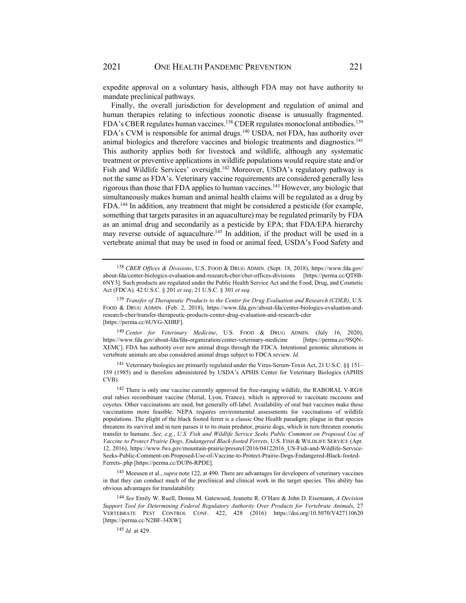expedite approval on a voluntary basis, although FDA may not have authority to mandate preclinical pathways.

Finally, the overall jurisdiction for development and regulation of animal and human therapies relating to infectious zoonotic disease is unusually fragmented. FDA's CBER regulates human vaccines.<sup>138</sup> CDER regulates monoclonal antibodies.<sup>139</sup> FDA's CVM is responsible for animal drugs.140 USDA, not FDA, has authority over animal biologics and therefore vaccines and biologic treatments and diagnostics.<sup>141</sup> This authority applies both for livestock and wildlife, although any systematic treatment or preventive applications in wildlife populations would require state and/or Fish and Wildlife Services' oversight.<sup>142</sup> Moreover, USDA's regulatory pathway is not the same as FDA's. Veterinary vaccine requirements are considered generally less rigorous than those that FDA applies to human vaccines.143 However, any biologic that simultaneously makes human and animal health claims will be regulated as a drug by FDA.144 In addition, any treatment that might be considered a pesticide (for example, something that targets parasites in an aquaculture) may be regulated primarily by FDA as an animal drug and secondarily as a pesticide by EPA; that FDA/EPA hierarchy may reverse outside of aquaculture.<sup>145</sup> In addition, if the product will be used in a vertebrate animal that may be used in food or animal feed, USDA's Food Safety and

<sup>140</sup> *Center for Veterinary Medicine*, U.S. FOOD & DRUG ADMIN. (July 16, 2020), https://www.fda.gov/about-fda/fda-organization/center-veterinary-medicine [https://perma.cc/9SQN-XEMC]. FDA has authority over new animal drugs through the FDCA. Intentional genomic alterations in vertebrate animals are also considered animal drugs subject to FDCA review. *Id.* 

141 Veterinary biologics are primarily regulated under the Virus-Serum-Toxin Act, 21 U.S.C. §§ 151– 159 (1985) and is therefore administered by USDA's APHIS Center for Veterinary Biologics (APHIS CVB).

<sup>142</sup> There is only one vaccine currently approved for free-ranging wildlife, the RABORAL V-RG® oral rabies recombinant vaccine (Merial, Lyon, France), which is approved to vaccinate raccoons and coyotes. Other vaccinations are used, but generally off-label. Availability of oral bait vaccines make these vaccinations more feasible. NEPA requires environmental assessments for vaccinations of wildlife populations. The plight of the black footed ferret is a classic One Health paradigm; plague in that species threatens its survival and in turn passes it to its main predator, prairie dogs, which in turn threaten zoonotic transfer to humans. *See, e.g.*, *U.S. Fish and Wildlife Service Seeks Public Comment on Proposed Use of Vaccine to Protect Prairie Dogs, Endangered Black-footed Ferrets*, U.S. FISH & WILDLIFE SERVICE (Apr. 12, 2016), https://www.fws.gov/mountain-prairie/pressrel/2016/04122016\_US-Fish-and-Wildlife-Service-Seeks-Public-Comment-on-Proposed-Use-of-Vaccine-to-Protect-Prairie-Dogs-Endangered-Black-footed-Ferrets-.php [https://perma.cc/DUP6-RPDE].

143 Meeusen et al., *supra* note 122, at 490. There are advantages for developers of veterinary vaccines in that they can conduct much of the preclinical and clinical work in the target species. This ability has obvious advantages for translatability.

<sup>144</sup> *See* Emily W. Ruell, Donna M. Gatewood, Jeanette R. O'Hare & John D. Eisemann, *A Decision Support Tool for Determining Federal Regulatory Authority Over Products for Vertebrate Animals*, 27 VERTEBRATE PEST CONTROL CONF. 422, 428 (2016) https://doi.org/10.5070/V427110620 [https://perma.cc/N2BF-34XW].

<sup>145</sup> *Id.* at 429.

<sup>138</sup> *CBER Offices & Divisions*, U.S. FOOD & DRUG ADMIN. (Sept. 18, 2018), https://www.fda.gov/ about-fda/center-biologics-evaluation-and-research-cber/cber-offices-divisions [https://perma.cc/QT8B-6NY3]. Such products are regulated under the Public Health Service Act and the Food, Drug, and Cosmetic Act (FDCA). 42 U.S.C. § 201 *et seq*; 21 U.S.C. § 301 *et seq*.

<sup>139</sup> *Transfer of Therapeutic Products to the Center for Drug Evaluation and Research (CDER)*, U.S. FOOD & DRUG ADMIN. (Feb. 2, 2018), https://www.fda.gov/about-fda/center-biologics-evaluation-andresearch-cber/transfer-therapeutic-products-center-drug-evaluation-and-research-cder [https://perma.cc/6UYG-XHRF].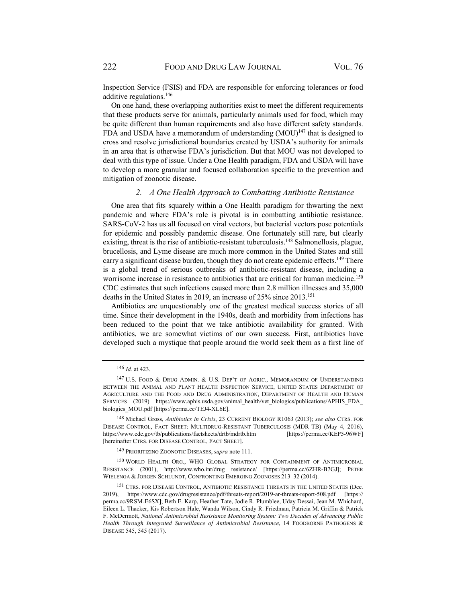Inspection Service (FSIS) and FDA are responsible for enforcing tolerances or food additive regulations.146

On one hand, these overlapping authorities exist to meet the different requirements that these products serve for animals, particularly animals used for food, which may be quite different than human requirements and also have different safety standards. FDA and USDA have a memorandum of understanding  $(MOU)^{147}$  that is designed to cross and resolve jurisdictional boundaries created by USDA's authority for animals in an area that is otherwise FDA's jurisdiction. But that MOU was not developed to deal with this type of issue. Under a One Health paradigm, FDA and USDA will have to develop a more granular and focused collaboration specific to the prevention and mitigation of zoonotic disease.

#### *2. A One Health Approach to Combatting Antibiotic Resistance*

One area that fits squarely within a One Health paradigm for thwarting the next pandemic and where FDA's role is pivotal is in combatting antibiotic resistance. SARS-CoV-2 has us all focused on viral vectors, but bacterial vectors pose potentials for epidemic and possibly pandemic disease. One fortunately still rare, but clearly existing, threat is the rise of antibiotic-resistant tuberculosis.<sup>148</sup> Salmonellosis, plague, brucellosis, and Lyme disease are much more common in the United States and still carry a significant disease burden, though they do not create epidemic effects.<sup>149</sup> There is a global trend of serious outbreaks of antibiotic-resistant disease, including a worrisome increase in resistance to antibiotics that are critical for human medicine.<sup>150</sup> CDC estimates that such infections caused more than 2.8 million illnesses and 35,000 deaths in the United States in 2019, an increase of 25% since 2013.151

Antibiotics are unquestionably one of the greatest medical success stories of all time. Since their development in the 1940s, death and morbidity from infections has been reduced to the point that we take antibiotic availability for granted. With antibiotics, we are somewhat victims of our own success. First, antibiotics have developed such a mystique that people around the world seek them as a first line of

<sup>149</sup> PRIORITIZING ZOONOTIC DISEASES, *supra* note 111.

<sup>150</sup> WORLD HEALTH ORG., WHO GLOBAL STRATEGY FOR CONTAINMENT OF ANTIMICROBIAL RESISTANCE (2001), http://www.who.int/drug resistance/ [https://perma.cc/6ZHR-B7GJ]; PETER WIELENGA & JORGEN SCHLUNDT, CONFRONTING EMERGING ZOONOSES 213–32 (2014).

<sup>146</sup> *Id.* at 423.

<sup>147</sup> U.S. FOOD & DRUG ADMIN. & U.S. DEP'T OF AGRIC., MEMORANDUM OF UNDERSTANDING BETWEEN THE ANIMAL AND PLANT HEALTH INSPECTION SERVICE, UNITED STATES DEPARTMENT OF AGRICULTURE AND THE FOOD AND DRUG ADMINISTRATION, DEPARTMENT OF HEALTH AND HUMAN SERVICES (2019) https://www.aphis.usda.gov/animal\_health/vet\_biologics/publications/APHIS\_FDA\_ biologics\_MOU.pdf [https://perma.cc/TEJ4-XL6E].

<sup>148</sup> Michael Gross, *Antibiotics in Crisis*, 23 CURRENT BIOLOGY R1063 (2013); *see also* CTRS. FOR DISEASE CONTROL, FACT SHEET: MULTIDRUG-RESISTANT TUBERCULOSIS (MDR TB) (May 4, 2016), https://www.cdc.gov/tb/publications/factsheets/drtb/mdrtb.htm [https://perma.cc/KEP5-96WF] [hereinafter CTRS. FOR DISEASE CONTROL, FACT SHEET].

<sup>151</sup> CTRS. FOR DISEASE CONTROL, ANTIBIOTIC RESISTANCE THREATS IN THE UNITED STATES (Dec. 2019), https://www.cdc.gov/drugresistance/pdf/threats-report/2019-ar-threats-report-508.pdf [https:// perma.cc/9RSM-E6SX]; Beth E. Karp, Heather Tate, Jodie R. Plumblee, Uday Dessai, Jean M. Whichard, Eileen L. Thacker, Kis Robertson Hale, Wanda Wilson, Cindy R. Friedman, Patricia M. Griffin & Patrick F. McDermott, *National Antimicrobial Resistance Monitoring System: Two Decades of Advancing Public Health Through Integrated Surveillance of Antimicrobial Resistance*, 14 FOODBORNE PATHOGENS & DISEASE 545, 545 (2017).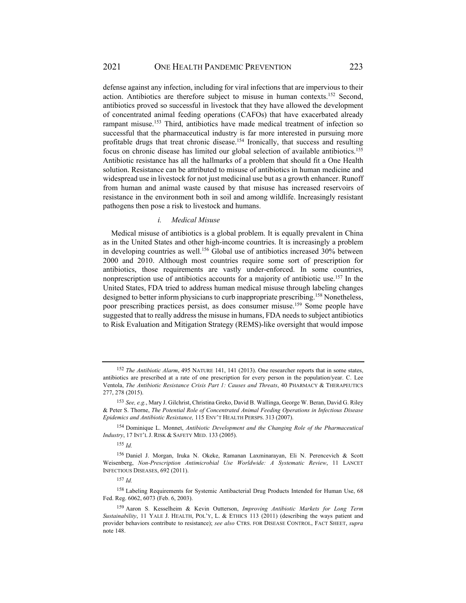defense against any infection, including for viral infections that are impervious to their action. Antibiotics are therefore subject to misuse in human contexts.152 Second, antibiotics proved so successful in livestock that they have allowed the development of concentrated animal feeding operations (CAFOs) that have exacerbated already rampant misuse.<sup>153</sup> Third, antibiotics have made medical treatment of infection so successful that the pharmaceutical industry is far more interested in pursuing more profitable drugs that treat chronic disease.154 Ironically, that success and resulting focus on chronic disease has limited our global selection of available antibiotics.155 Antibiotic resistance has all the hallmarks of a problem that should fit a One Health solution. Resistance can be attributed to misuse of antibiotics in human medicine and widespread use in livestock for not just medicinal use but as a growth enhancer. Runoff from human and animal waste caused by that misuse has increased reservoirs of resistance in the environment both in soil and among wildlife. Increasingly resistant pathogens then pose a risk to livestock and humans.

#### *i. Medical Misuse*

Medical misuse of antibiotics is a global problem. It is equally prevalent in China as in the United States and other high-income countries. It is increasingly a problem in developing countries as well.<sup>156</sup> Global use of antibiotics increased 30% between 2000 and 2010. Although most countries require some sort of prescription for antibiotics, those requirements are vastly under-enforced. In some countries, nonprescription use of antibiotics accounts for a majority of antibiotic use.<sup>157</sup> In the United States, FDA tried to address human medical misuse through labeling changes designed to better inform physicians to curb inappropriate prescribing.<sup>158</sup> Nonetheless, poor prescribing practices persist, as does consumer misuse.159 Some people have suggested that to really address the misuse in humans, FDA needs to subject antibiotics to Risk Evaluation and Mitigation Strategy (REMS)-like oversight that would impose

<sup>152</sup> *The Antibiotic Alarm*, 495 NATURE 141, 141 (2013). One researcher reports that in some states, antibiotics are prescribed at a rate of one prescription for every person in the population/year. C. Lee Ventola, *The Antibiotic Resistance Crisis Part 1: Causes and Threats*, 40 PHARMACY & THERAPEUTICS 277, 278 (2015).

<sup>153</sup> *See, e.g.*, Mary J. Gilchrist, Christina Greko, David B. Wallinga, George W. Beran, David G. Riley & Peter S. Thorne, *The Potential Role of Concentrated Animal Feeding Operations in Infectious Disease Epidemics and Antibiotic Resistance,* 115 ENV'T HEALTH PERSPS. 313 (2007).

<sup>154</sup> Dominique L. Monnet, *Antibiotic Development and the Changing Role of the Pharmaceutical Industry*, 17 INT'L J. RISK & SAFETY MED. 133 (2005).

<sup>155</sup> *Id.*

<sup>156</sup> Daniel J. Morgan, Iruka N. Okeke, Ramanan Laxminarayan, Eli N. Perencevich & Scott Weisenberg, *Non-Prescription Antimicrobial Use Worldwide: A Systematic Review*, 11 LANCET INFECTIOUS DISEASES, 692 (2011).

<sup>157</sup> *Id.*

<sup>&</sup>lt;sup>158</sup> Labeling Requirements for Systemic Antibacterial Drug Products Intended for Human Use, 68 Fed. Reg. 6062, 6073 (Feb. 6, 2003).

<sup>159</sup> Aaron S. Kesselheim & Kevin Outterson, *Improving Antibiotic Markets for Long Term Sustainability*, 11 YALE J. HEALTH, POL'Y, L. & ETHICS 113 (2011) (describing the ways patient and provider behaviors contribute to resistance); *see also* CTRS. FOR DISEASE CONTROL, FACT SHEET, *supra* note 148.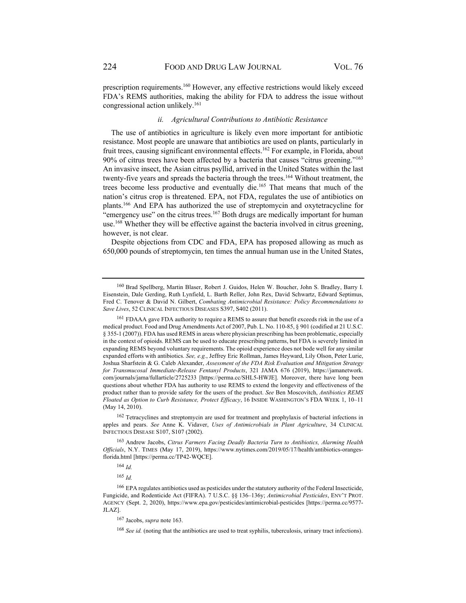prescription requirements.160 However, any effective restrictions would likely exceed FDA's REMS authorities, making the ability for FDA to address the issue without congressional action unlikely.161

#### *ii. Agricultural Contributions to Antibiotic Resistance*

The use of antibiotics in agriculture is likely even more important for antibiotic resistance. Most people are unaware that antibiotics are used on plants, particularly in fruit trees, causing significant environmental effects.<sup>162</sup> For example, in Florida, about 90% of citrus trees have been affected by a bacteria that causes "citrus greening."163 An invasive insect, the Asian citrus psyllid, arrived in the United States within the last twenty-five years and spreads the bacteria through the trees.<sup>164</sup> Without treatment, the trees become less productive and eventually die.<sup>165</sup> That means that much of the nation's citrus crop is threatened. EPA, not FDA, regulates the use of antibiotics on plants.166 And EPA has authorized the use of streptomycin and oxytetracycline for "emergency use" on the citrus trees.<sup>167</sup> Both drugs are medically important for human use.<sup>168</sup> Whether they will be effective against the bacteria involved in citrus greening, however, is not clear.

Despite objections from CDC and FDA, EPA has proposed allowing as much as 650,000 pounds of streptomycin, ten times the annual human use in the United States,

162 Tetracyclines and streptomycin are used for treatment and prophylaxis of bacterial infections in apples and pears. *See* Anne K. Vidaver, *Uses of Antimicrobials in Plant Agriculture*, 34 CLINICAL INFECTIOUS DISEASE S107, S107 (2002).

163 Andrew Jacobs, *Citrus Farmers Facing Deadly Bacteria Turn to Antibiotics, Alarming Health Officials*, N.Y. TIMES (May 17, 2019), https://www.nytimes.com/2019/05/17/health/antibiotics-orangesflorida.html [https://perma.cc/TP42-WQCE].

<sup>164</sup> *Id.*

<sup>165</sup> *Id.*

<sup>160</sup> Brad Spellberg, Martin Blaser, Robert J. Guidos, Helen W. Boucher, John S. Bradley, Barry I. Eisenstein, Dale Gerding, Ruth Lynfield, L. Barth Reller, John Rex, David Schwartz, Edward Septimus, Fred C. Tenover & David N. Gilbert, *Combating Antimicrobial Resistance: Policy Recommendations to Save Lives*, 52 CLINICAL INFECTIOUS DISEASES S397, S402 (2011).

<sup>161</sup> FDAAA gave FDA authority to require a REMS to assure that benefit exceeds risk in the use of a medical product. Food and Drug Amendments Act of 2007, Pub. L. No. 110-85, § 901 (codified at 21 U.S.C. § 355-1 (2007)). FDA has used REMS in areas where physician prescribing has been problematic, especially in the context of opioids. REMS can be used to educate prescribing patterns, but FDA is severely limited in expanding REMS beyond voluntary requirements. The opioid experience does not bode well for any similar expanded efforts with antibiotics. *See, e.g.*, Jeffrey Eric Rollman, James Heyward, Lily Olson, Peter Lurie, Joshua Sharfstein & G. Caleb Alexander, *Assessment of the FDA Risk Evaluation and Mitigation Strategy for Transmucosal Immediate-Release Fentanyl Products*, 321 JAMA 676 (2019), https://jamanetwork. com/journals/jama/fullarticle/2725233 [https://perma.cc/SHL5-HWJE]. Moreover, there have long been questions about whether FDA has authority to use REMS to extend the longevity and effectiveness of the product rather than to provide safety for the users of the product. *See* Ben Moscovitch, *Antibiotics REMS Floated as Option to Curb Resistance, Protect Efficacy*, 16 INSIDE WASHINGTON'S FDA WEEK 1, 10–11 (May 14, 2010).

<sup>166</sup> EPA regulates antibiotics used as pesticides under the statutory authority of the Federal Insecticide, Fungicide, and Rodenticide Act (FIFRA). 7 U.S.C. §§ 136–136y; *Antimicrobial Pesticides*, ENV'T PROT. AGENCY (Sept. 2, 2020), https://www.epa.gov/pesticides/antimicrobial-pesticides [https://perma.cc/9577- JLAZ].

<sup>167</sup>Jacobs, *supra* note 163.

<sup>168</sup> *See id.* (noting that the antibiotics are used to treat syphilis, tuberculosis, urinary tract infections).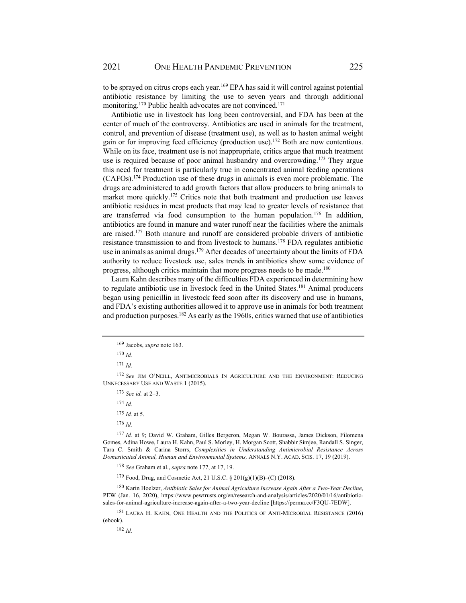to be sprayed on citrus crops each year.<sup>169</sup> EPA has said it will control against potential antibiotic resistance by limiting the use to seven years and through additional monitoring.<sup>170</sup> Public health advocates are not convinced.<sup>171</sup>

Antibiotic use in livestock has long been controversial, and FDA has been at the center of much of the controversy. Antibiotics are used in animals for the treatment, control, and prevention of disease (treatment use), as well as to hasten animal weight gain or for improving feed efficiency (production use).172 Both are now contentious. While on its face, treatment use is not inappropriate, critics argue that much treatment use is required because of poor animal husbandry and overcrowding.<sup>173</sup> They argue this need for treatment is particularly true in concentrated animal feeding operations  $(CAFOs)^{174}$  Production use of these drugs in animals is even more problematic. The drugs are administered to add growth factors that allow producers to bring animals to market more quickly.<sup>175</sup> Critics note that both treatment and production use leaves antibiotic residues in meat products that may lead to greater levels of resistance that are transferred via food consumption to the human population.<sup>176</sup> In addition. antibiotics are found in manure and water runoff near the facilities where the animals are raised.177 Both manure and runoff are considered probable drivers of antibiotic resistance transmission to and from livestock to humans.178 FDA regulates antibiotic use in animals as animal drugs.<sup>179</sup> After decades of uncertainty about the limits of FDA authority to reduce livestock use, sales trends in antibiotics show some evidence of progress, although critics maintain that more progress needs to be made.<sup>180</sup>

Laura Kahn describes many of the difficulties FDA experienced in determining how to regulate antibiotic use in livestock feed in the United States.181 Animal producers began using penicillin in livestock feed soon after its discovery and use in humans, and FDA's existing authorities allowed it to approve use in animals for both treatment and production purposes.<sup>182</sup> As early as the 1960s, critics warned that use of antibiotics

<sup>173</sup> *See id.* at 2–3.

<sup>174</sup> *Id.*

179 Food, Drug, and Cosmetic Act, 21 U.S.C. § 201(g)(1)(B)–(C) (2018).

180 Karin Hoelzer, *Antibiotic Sales for Animal Agriculture Increase Again After a Two-Year Decline*, PEW (Jan. 16, 2020), https://www.pewtrusts.org/en/research-and-analysis/articles/2020/01/16/antibioticsales-for-animal-agriculture-increase-again-after-a-two-year-decline [https://perma.cc/F3QU-7EDW].

181 LAURA H. KAHN, ONE HEALTH AND THE POLITICS OF ANTI-MICROBIAL RESISTANCE (2016) (ebook).

<sup>182</sup> *Id.*

<sup>169</sup>Jacobs, *supra* note 163.

<sup>170</sup> *Id.*

<sup>171</sup> *Id.*

<sup>172</sup> *See* JIM O'NEILL, ANTIMICROBIALS IN AGRICULTURE AND THE ENVIRONMENT: REDUCING UNNECESSARY USE AND WASTE 1 (2015).

<sup>175</sup> *Id.* at 5.

<sup>176</sup> *Id.*

<sup>177</sup> *Id.* at 9; David W. Graham, Gilles Bergeron, Megan W. Bourassa, James Dickson, Filomena Gomes, Adina Howe, Laura H. Kahn, Paul S. Morley, H. Morgan Scott, Shabbir Simjee, Randall S. Singer, Tara C. Smith & Carina Storrs, *Complexities in Understanding Antimicrobial Resistance Across Domesticated Animal, Human and Environmental Systems,* ANNALS N.Y. ACAD. SCIS. 17, 19 (2019).

<sup>178</sup> *See* Graham et al., *supra* note 177, at 17, 19.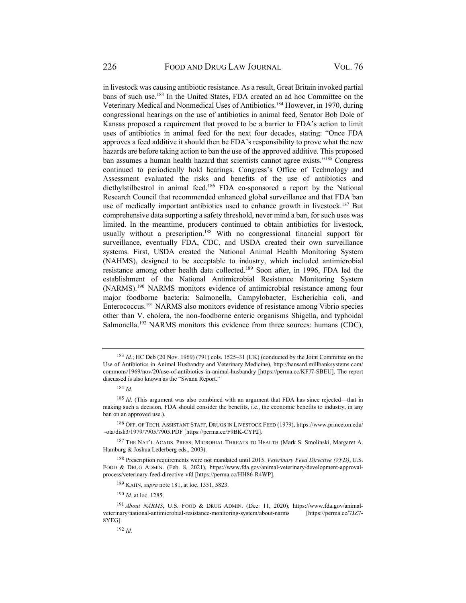in livestock was causing antibiotic resistance. As a result, Great Britain invoked partial bans of such use.183 In the United States, FDA created an ad hoc Committee on the Veterinary Medical and Nonmedical Uses of Antibiotics.184 However, in 1970, during congressional hearings on the use of antibiotics in animal feed, Senator Bob Dole of Kansas proposed a requirement that proved to be a barrier to FDA's action to limit uses of antibiotics in animal feed for the next four decades, stating: "Once FDA approves a feed additive it should then be FDA's responsibility to prove what the new hazards are before taking action to ban the use of the approved additive. This proposed ban assumes a human health hazard that scientists cannot agree exists."185 Congress continued to periodically hold hearings. Congress's Office of Technology and Assessment evaluated the risks and benefits of the use of antibiotics and diethylstilbestrol in animal feed.186 FDA co-sponsored a report by the National Research Council that recommended enhanced global surveillance and that FDA ban use of medically important antibiotics used to enhance growth in livestock.<sup>187</sup> But comprehensive data supporting a safety threshold, never mind a ban, for such uses was limited. In the meantime, producers continued to obtain antibiotics for livestock, usually without a prescription.<sup>188</sup> With no congressional financial support for surveillance, eventually FDA, CDC, and USDA created their own surveillance systems. First, USDA created the National Animal Health Monitoring System (NAHMS), designed to be acceptable to industry, which included antimicrobial resistance among other health data collected.189 Soon after, in 1996, FDA led the establishment of the National Antimicrobial Resistance Monitoring System (NARMS).190 NARMS monitors evidence of antimicrobial resistance among four major foodborne bacteria: Salmonella, Campylobacter, Escherichia coli, and Enterococcus.191 NARMS also monitors evidence of resistance among Vibrio species other than V. cholera, the non-foodborne enteric organisms Shigella, and typhoidal Salmonella.<sup>192</sup> NARMS monitors this evidence from three sources: humans (CDC),

<sup>183</sup> *Id.*; HC Deb (20 Nov. 1969) (791) cols. 1525–31 (UK) (conducted by the Joint Committee on the Use of Antibiotics in Animal Husbandry and Veterinary Medicine), http://hansard.millbanksystems.com/ commons/1969/nov/20/use-of-antibiotics-in-animal-husbandry [https://perma.cc/KFJ7-SBEU]. The report discussed is also known as the "Swann Report."

<sup>184</sup> *Id.*

<sup>185</sup> *Id.* (This argument was also combined with an argument that FDA has since rejected—that in making such a decision, FDA should consider the benefits, i.e., the economic benefits to industry, in any ban on an approved use.).

<sup>186</sup> OFF. OF TECH. ASSISTANT STAFF, DRUGS IN LIVESTOCK FEED (1979), https://www.princeton.edu/ ~ota/disk3/1979/7905/7905.PDF [https://perma.cc/F9BK-CYP2].

<sup>187</sup> THE NAT'L ACADS. PRESS, MICROBIAL THREATS TO HEALTH (Mark S. Smolinski, Margaret A. Hamburg & Joshua Lederberg eds., 2003).

<sup>188</sup> Prescription requirements were not mandated until 2015. *Veterinary Feed Directive (VFD)*, U.S. FOOD & DRUG ADMIN. (Feb. 8, 2021), https://www.fda.gov/animal-veterinary/development-approvalprocess/veterinary-feed-directive-vfd [https://perma.cc/HH86-R4WP].

<sup>189</sup> KAHN, *supra* note 181, at loc. 1351, 5823.

<sup>190</sup> *Id.* at loc. 1285.

<sup>&</sup>lt;sup>191</sup> *About NARMS*, U.S. FOOD & DRUG ADMIN. (Dec. 11, 2020), https://www.fda.gov/animal-<br>inary/national-antimicrobial-resistance-monitoring-system/about-narms [https://perma.cc/7JZ7veterinary/national-antimicrobial-resistance-monitoring-system/about-narms 8YEG].

<sup>192</sup> *Id.*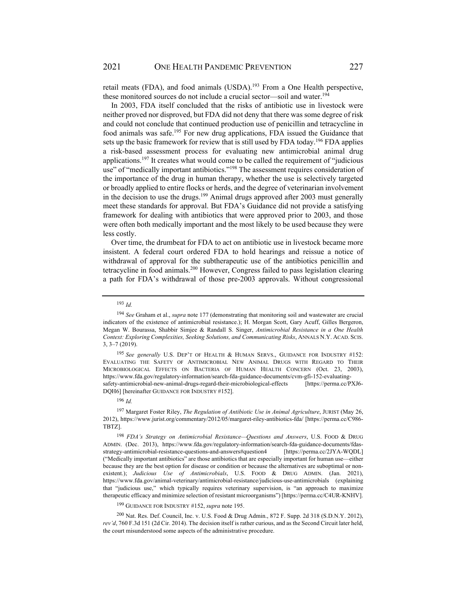retail meats (FDA), and food animals (USDA).<sup>193</sup> From a One Health perspective, these monitored sources do not include a crucial sector—soil and water.<sup>194</sup>

In 2003, FDA itself concluded that the risks of antibiotic use in livestock were neither proved nor disproved, but FDA did not deny that there was some degree of risk and could not conclude that continued production use of penicillin and tetracycline in food animals was safe.195 For new drug applications, FDA issued the Guidance that sets up the basic framework for review that is still used by FDA today.<sup>196</sup> FDA applies a risk-based assessment process for evaluating new antimicrobial animal drug applications.197 It creates what would come to be called the requirement of "judicious use" of "medically important antibiotics."<sup>198</sup> The assessment requires consideration of the importance of the drug in human therapy, whether the use is selectively targeted or broadly applied to entire flocks or herds, and the degree of veterinarian involvement in the decision to use the drugs.<sup>199</sup> Animal drugs approved after 2003 must generally meet these standards for approval. But FDA's Guidance did not provide a satisfying framework for dealing with antibiotics that were approved prior to 2003, and those were often both medically important and the most likely to be used because they were less costly.

Over time, the drumbeat for FDA to act on antibiotic use in livestock became more insistent. A federal court ordered FDA to hold hearings and reissue a notice of withdrawal of approval for the subtherapeutic use of the antibiotics penicillin and tetracycline in food animals.200 However, Congress failed to pass legislation clearing a path for FDA's withdrawal of those pre-2003 approvals. Without congressional

<sup>195</sup> *See generally* U.S. DEP'T OF HEALTH & HUMAN SERVS., GUIDANCE FOR INDUSTRY #152: EVALUATING THE SAFETY OF ANTIMICROBIAL NEW ANIMAL DRUGS WITH REGARD TO THEIR MICROBIOLOGICAL EFFECTS ON BACTERIA OF HUMAN HEALTH CONCERN (Oct. 23, 2003), https://www.fda.gov/regulatory-information/search-fda-guidance-documents/cvm-gfi-152-evaluatingsafety-antimicrobial-new-animal-drugs-regard-their-microbiological-effects [https://perma.cc/PXJ6- DQH6] [hereinafter GUIDANCE FOR INDUSTRY #152].

<sup>196</sup> *Id.*

197 Margaret Foster Riley, *The Regulation of Antibiotic Use in Animal Agriculture*, JURIST (May 26, 2012), https://www.jurist.org/commentary/2012/05/margaret-riley-antibiotics-fda/ [https://perma.cc/C986- TBTZ].

<sup>198</sup> *FDA's Strategy on Antimicrobial Resistance—Questions and Answers*, U.S. FOOD & DRUG ADMIN. (Dec. 2013), https://www.fda.gov/regulatory-information/search-fda-guidance-documents/fdasstrategy-antimicrobial-resistance-questions-and-answers#question4 [https://perma.cc/2JYA-WQDL] ("Medically important antibiotics" are those antibiotics that are especially important for human use—either because they are the best option for disease or condition or because the alternatives are suboptimal or nonexistent.); *Judicious Use of Antimicrobials*, U.S. FOOD & DRUG ADMIN. (Jan. 2021), https://www.fda.gov/animal-veterinary/antimicrobial-resistance/judicious-use-antimicrobials (explaining that "judicious use," which typically requires veterinary supervision, is "an approach to maximize therapeutic efficacy and minimize selection of resistant microorganisms") [https://perma.cc/C4UR-KNHV].

<sup>199</sup> GUIDANCE FOR INDUSTRY #152, *supra* note 195.

<sup>200</sup>Nat. Res. Def. Council, Inc. v. U.S. Food & Drug Admin., 872 F. Supp. 2d 318 (S.D.N.Y. 2012), *rev'd*, 760 F.3d 151 (2d Cir. 2014). The decision itself is rather curious, and as the Second Circuit later held, the court misunderstood some aspects of the administrative procedure.

<sup>193</sup> *Id.*

<sup>194</sup> *See* Graham et al., *supra* note 177 (demonstrating that monitoring soil and wastewater are crucial indicators of the existence of antimicrobial resistance.); H. Morgan Scott, Gary Acuff, Gilles Bergeron, Megan W. Bourassa, Shabbir Simjee & Randall S. Singer, *Antimicrobial Resistance in a One Health Context: Exploring Complexities, Seeking Solutions, and Communicating Risks*, ANNALS N.Y. ACAD. SCIS. 3, 3–7 (2019).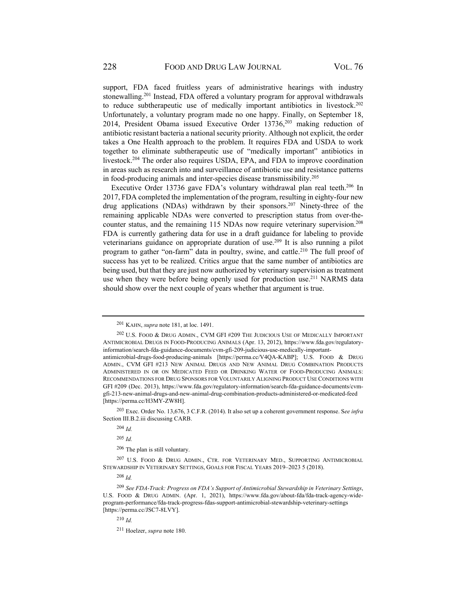support, FDA faced fruitless years of administrative hearings with industry stonewalling.201 Instead, FDA offered a voluntary program for approval withdrawals to reduce subtherapeutic use of medically important antibiotics in livestock.<sup>202</sup> Unfortunately, a voluntary program made no one happy. Finally, on September 18, 2014, President Obama issued Executive Order  $13736$ ,  $203$  making reduction of antibiotic resistant bacteria a national security priority. Although not explicit, the order takes a One Health approach to the problem. It requires FDA and USDA to work together to eliminate subtherapeutic use of "medically important" antibiotics in livestock.<sup>204</sup> The order also requires USDA, EPA, and FDA to improve coordination in areas such as research into and surveillance of antibiotic use and resistance patterns in food-producing animals and inter-species disease transmissibility.205

Executive Order 13736 gave FDA's voluntary withdrawal plan real teeth.<sup>206</sup> In 2017, FDA completed the implementation of the program, resulting in eighty-four new drug applications (NDAs) withdrawn by their sponsors.<sup>207</sup> Ninety-three of the remaining applicable NDAs were converted to prescription status from over-thecounter status, and the remaining 115 NDAs now require veterinary supervision.208 FDA is currently gathering data for use in a draft guidance for labeling to provide veterinarians guidance on appropriate duration of use.<sup>209</sup> It is also running a pilot program to gather "on-farm" data in poultry, swine, and cattle.<sup>210</sup> The full proof of success has yet to be realized. Critics argue that the same number of antibiotics are being used, but that they are just now authorized by veterinary supervision as treatment use when they were before being openly used for production use.<sup>211</sup> NARMS data should show over the next couple of years whether that argument is true.

202 U.S. FOOD & DRUG ADMIN., CVM GFI #209 THE JUDICIOUS USE OF MEDICALLY IMPORTANT ANTIMICROBIAL DRUGS IN FOOD-PRODUCING ANIMALS (Apr. 13, 2012), https://www.fda.gov/regulatoryinformation/search-fda-guidance-documents/cvm-gfi-209-judicious-use-medically-important-

<sup>201</sup> KAHN, *supra* note 181, at loc. 1491.

antimicrobial-drugs-food-producing-animals [https://perma.cc/V4QA-KABP]; U.S. FOOD & DRUG ADMIN., CVM GFI #213 NEW ANIMAL DRUGS AND NEW ANIMAL DRUG COMBINATION PRODUCTS ADMINISTERED IN OR ON MEDICATED FEED OR DRINKING WATER OF FOOD-PRODUCING ANIMALS: RECOMMENDATIONS FOR DRUG SPONSORS FOR VOLUNTARILY ALIGNING PRODUCT USE CONDITIONS WITH GFI #209 (Dec. 2013), https://www.fda.gov/regulatory-information/search-fda-guidance-documents/cvmgfi-213-new-animal-drugs-and-new-animal-drug-combination-products-administered-or-medicated-feed [https://perma.cc/H3MY-ZW8H].

<sup>203</sup> Exec. Order No. 13,676, 3 C.F.R. (2014). It also set up a coherent government response. S*ee infra* Section III.B.2.iii discussing CARB.

<sup>204</sup> *Id.*

<sup>205</sup> *Id.*

<sup>206</sup> The plan is still voluntary.

<sup>207</sup> U.S. FOOD & DRUG ADMIN., CTR. FOR VETERINARY MED., SUPPORTING ANTIMICROBIAL STEWARDSHIP IN VETERINARY SETTINGS, GOALS FOR FISCAL YEARS 2019–2023 5 (2018).

<sup>208</sup> *Id.*

<sup>209</sup> *See FDA-Track: Progress on FDA's Support of Antimicrobial Stewardship in Veterinary Settings*, U.S. FOOD & DRUG ADMIN. (Apr. 1, 2021), https://www.fda.gov/about-fda/fda-track-agency-wideprogram-performance/fda-track-progress-fdas-support-antimicrobial-stewardship-veterinary-settings [https://perma.cc/JSC7-8LVY].

<sup>210</sup> *Id.*

<sup>211</sup> Hoelzer, *supra* note 180.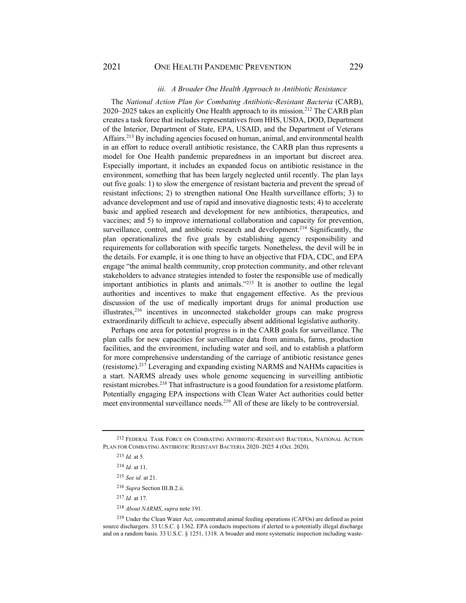#### *iii. A Broader One Health Approach to Antibiotic Resistance*

The *National Action Plan for Combating Antibiotic-Resistant Bacteria* (CARB), 2020–2025 takes an explicitly One Health approach to its mission.212 The CARB plan creates a task force that includes representatives from HHS, USDA, DOD, Department of the Interior, Department of State, EPA, USAID, and the Department of Veterans Affairs.213 By including agencies focused on human, animal, and environmental health in an effort to reduce overall antibiotic resistance, the CARB plan thus represents a model for One Health pandemic preparedness in an important but discreet area. Especially important, it includes an expanded focus on antibiotic resistance in the environment, something that has been largely neglected until recently. The plan lays out five goals: 1) to slow the emergence of resistant bacteria and prevent the spread of resistant infections; 2) to strengthen national One Health surveillance efforts; 3) to advance development and use of rapid and innovative diagnostic tests; 4) to accelerate basic and applied research and development for new antibiotics, therapeutics, and vaccines; and 5) to improve international collaboration and capacity for prevention, surveillance, control, and antibiotic research and development.<sup>214</sup> Significantly, the plan operationalizes the five goals by establishing agency responsibility and requirements for collaboration with specific targets. Nonetheless, the devil will be in the details. For example, it is one thing to have an objective that FDA, CDC, and EPA engage "the animal health community, crop protection community, and other relevant stakeholders to advance strategies intended to foster the responsible use of medically important antibiotics in plants and animals."215 It is another to outline the legal authorities and incentives to make that engagement effective. As the previous discussion of the use of medically important drugs for animal production use illustrates,216 incentives in unconnected stakeholder groups can make progress extraordinarily difficult to achieve, especially absent additional legislative authority.

Perhaps one area for potential progress is in the CARB goals for surveillance. The plan calls for new capacities for surveillance data from animals, farms, production facilities, and the environment, including water and soil, and to establish a platform for more comprehensive understanding of the carriage of antibiotic resistance genes (resistome).217 Leveraging and expanding existing NARMS and NAHMs capacities is a start. NARMS already uses whole genome sequencing in surveilling antibiotic resistant microbes.218 That infrastructure is a good foundation for a resistome platform. Potentially engaging EPA inspections with Clean Water Act authorities could better meet environmental surveillance needs.219 All of these are likely to be controversial.

<sup>213</sup> *Id.* at 5.

<sup>214</sup> *Id.* at 11.

<sup>215</sup> *See id.* at 21.

<sup>216</sup> *Supra* Section III.B.2.ii.

<sup>217</sup> *Id.* at 17.

<sup>218</sup> *About NARMS*, *supra* note 191.

219 Under the Clean Water Act, concentrated animal feeding operations (CAFOs) are defined as point source dischargers. 33 U.S.C. § 1362. EPA conducts inspections if alerted to a potentially illegal discharge and on a random basis. 33 U.S.C. § 1251, 1318. A broader and more systematic inspection including waste-

<sup>212</sup> FEDERAL TASK FORCE ON COMBATING ANTIBIOTIC-RESISTANT BACTERIA, NATIONAL ACTION PLAN FOR COMBATING ANTIBIOTIC RESISTANT BACTERIA 2020–2025 4 (Oct. 2020).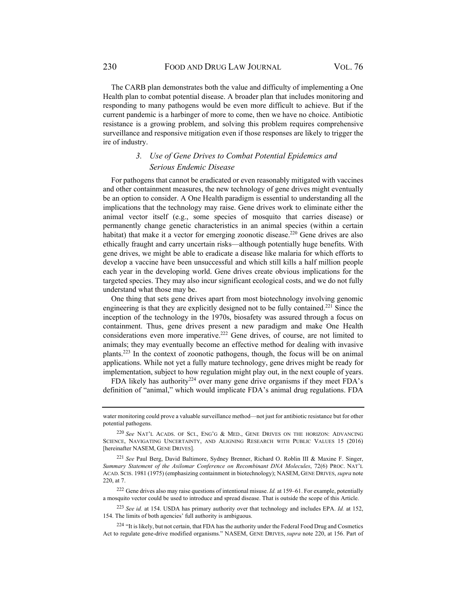The CARB plan demonstrates both the value and difficulty of implementing a One Health plan to combat potential disease. A broader plan that includes monitoring and responding to many pathogens would be even more difficult to achieve. But if the current pandemic is a harbinger of more to come, then we have no choice. Antibiotic resistance is a growing problem, and solving this problem requires comprehensive surveillance and responsive mitigation even if those responses are likely to trigger the ire of industry.

## *3. Use of Gene Drives to Combat Potential Epidemics and Serious Endemic Disease*

For pathogens that cannot be eradicated or even reasonably mitigated with vaccines and other containment measures, the new technology of gene drives might eventually be an option to consider. A One Health paradigm is essential to understanding all the implications that the technology may raise. Gene drives work to eliminate either the animal vector itself (e.g., some species of mosquito that carries disease) or permanently change genetic characteristics in an animal species (within a certain habitat) that make it a vector for emerging zoonotic disease.<sup>220</sup> Gene drives are also ethically fraught and carry uncertain risks—although potentially huge benefits. With gene drives, we might be able to eradicate a disease like malaria for which efforts to develop a vaccine have been unsuccessful and which still kills a half million people each year in the developing world. Gene drives create obvious implications for the targeted species. They may also incur significant ecological costs, and we do not fully understand what those may be.

One thing that sets gene drives apart from most biotechnology involving genomic engineering is that they are explicitly designed not to be fully contained.221 Since the inception of the technology in the 1970s, biosafety was assured through a focus on containment. Thus, gene drives present a new paradigm and make One Health considerations even more imperative.222 Gene drives, of course, are not limited to animals; they may eventually become an effective method for dealing with invasive plants.223 In the context of zoonotic pathogens, though, the focus will be on animal applications. While not yet a fully mature technology, gene drives might be ready for implementation, subject to how regulation might play out, in the next couple of years.

FDA likely has authority<sup>224</sup> over many gene drive organisms if they meet FDA's definition of "animal," which would implicate FDA's animal drug regulations. FDA

water monitoring could prove a valuable surveillance method—not just for antibiotic resistance but for other potential pathogens.

<sup>220</sup> *See* NAT'L ACADS. OF SCI., ENG'G & MED., GENE DRIVES ON THE HORIZON: ADVANCING SCIENCE, NAVIGATING UNCERTAINTY, AND ALIGNING RESEARCH WITH PUBLIC VALUES 15 (2016) [hereinafter NASEM, GENE DRIVES].

<sup>221</sup> *See* Paul Berg, David Baltimore, Sydney Brenner, Richard O. Roblin III & Maxine F. Singer, *Summary Statement of the Asilomar Conference on Recombinant DNA Molecules*, 72(6) PROC. NAT'L ACAD. SCIS. 1981 (1975) (emphasizing containment in biotechnology); NASEM, GENE DRIVES, *supra* note 220, at 7.

<sup>222</sup> Gene drives also may raise questions of intentional misuse. *Id.* at 159–61. For example, potentially a mosquito vector could be used to introduce and spread disease. That is outside the scope of this Article.

<sup>223</sup> *See id.* at 154. USDA has primary authority over that technology and includes EPA. *Id.* at 152, 154. The limits of both agencies' full authority is ambiguous.

<sup>&</sup>lt;sup>224</sup> "It is likely, but not certain, that FDA has the authority under the Federal Food Drug and Cosmetics Act to regulate gene-drive modified organisms." NASEM, GENE DRIVES, *supra* note 220, at 156. Part of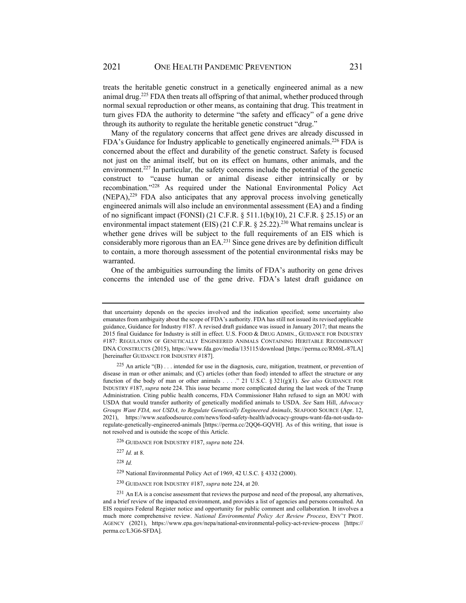treats the heritable genetic construct in a genetically engineered animal as a new animal drug.<sup>225</sup> FDA then treats all offspring of that animal, whether produced through normal sexual reproduction or other means, as containing that drug. This treatment in turn gives FDA the authority to determine "the safety and efficacy" of a gene drive through its authority to regulate the heritable genetic construct "drug."

Many of the regulatory concerns that affect gene drives are already discussed in FDA's Guidance for Industry applicable to genetically engineered animals.<sup>226</sup> FDA is concerned about the effect and durability of the genetic construct. Safety is focused not just on the animal itself, but on its effect on humans, other animals, and the environment.<sup>227</sup> In particular, the safety concerns include the potential of the genetic construct to "cause human or animal disease either intrinsically or by recombination."228 As required under the National Environmental Policy Act (NEPA),229 FDA also anticipates that any approval process involving genetically engineered animals will also include an environmental assessment (EA) and a finding of no significant impact (FONSI) (21 C.F.R. § 511.1(b)(10), 21 C.F.R. § 25.15) or an environmental impact statement (EIS) (21 C.F.R.  $\S$  25.22).<sup>230</sup> What remains unclear is whether gene drives will be subject to the full requirements of an EIS which is considerably more rigorous than an EA.<sup>231</sup> Since gene drives are by definition difficult to contain, a more thorough assessment of the potential environmental risks may be warranted.

One of the ambiguities surrounding the limits of FDA's authority on gene drives concerns the intended use of the gene drive. FDA's latest draft guidance on

- <sup>226</sup> GUIDANCE FOR INDUSTRY #187, *supra* note 224.
- <sup>227</sup> *Id.* at 8.

<sup>228</sup> *Id.*

that uncertainty depends on the species involved and the indication specified; some uncertainty also emanates from ambiguity about the scope of FDA's authority. FDA has still not issued its revised applicable guidance, Guidance for Industry #187. A revised draft guidance was issued in January 2017; that means the 2015 final Guidance for Industry is still in effect. U.S. FOOD & DRUG ADMIN., GUIDANCE FOR INDUSTRY #187: REGULATION OF GENETICALLY ENGINEERED ANIMALS CONTAINING HERITABLE RECOMBINANT DNA CONSTRUCTS (2015), https://www.fda.gov/media/135115/download [https://perma.cc/RM6L-87LA] [hereinafter GUIDANCE FOR INDUSTRY #187].

<sup>&</sup>lt;sup>225</sup> An article "(B) . . . intended for use in the diagnosis, cure, mitigation, treatment, or prevention of disease in man or other animals; and (C) articles (other than food) intended to affect the structure or any function of the body of man or other animals . . . ." 21 U.S.C. § 321(g)(1). *See also* GUIDANCE FOR INDUSTRY #187, *supra* note 224. This issue became more complicated during the last week of the Trump Administration. Citing public health concerns, FDA Commissioner Hahn refused to sign an MOU with USDA that would transfer authority of genetically modified animals to USDA. *See* Sam Hill, *Advocacy Groups Want FDA, not USDA, to Regulate Genetically Engineered Animals*, SEAFOOD SOURCE (Apr. 12, 2021), https://www.seafoodsource.com/news/food-safety-health/advocacy-groups-want-fda-not-usda-toregulate-genetically-engineered-animals [https://perma.cc/2QQ6-GQVH]. As of this writing, that issue is not resolved and is outside the scope of this Article.

<sup>229</sup> National Environmental Policy Act of 1969, 42 U.S.C. § 4332 (2000).

<sup>230</sup> GUIDANCE FOR INDUSTRY #187, *supra* note 224, at 20.

<sup>&</sup>lt;sup>231</sup> An EA is a concise assessment that reviews the purpose and need of the proposal, any alternatives, and a brief review of the impacted environment, and provides a list of agencies and persons consulted. An EIS requires Federal Register notice and opportunity for public comment and collaboration. It involves a much more comprehensive review. *National Environmental Policy Act Review Process*, ENV'T PROT. AGENCY (2021), https://www.epa.gov/nepa/national-environmental-policy-act-review-process [https:// perma.cc/L3G6-SFDA].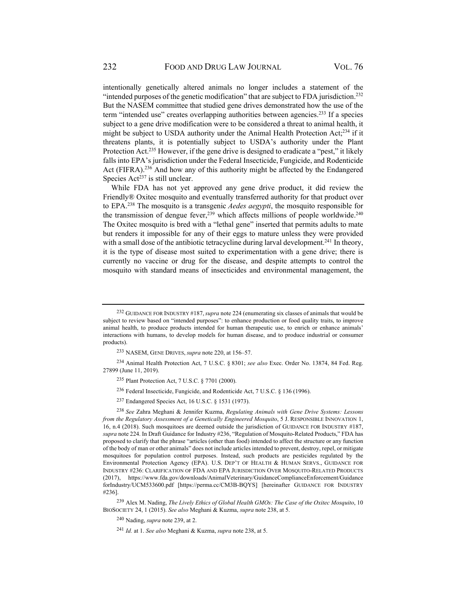intentionally genetically altered animals no longer includes a statement of the "intended purposes of the genetic modification" that are subject to FDA jurisdiction.<sup>232</sup> But the NASEM committee that studied gene drives demonstrated how the use of the term "intended use" creates overlapping authorities between agencies.<sup>233</sup> If a species subject to a gene drive modification were to be considered a threat to animal health, it might be subject to USDA authority under the Animal Health Protection Act; $^{234}$  if it threatens plants, it is potentially subject to USDA's authority under the Plant Protection Act.<sup>235</sup> However, if the gene drive is designed to eradicate a "pest," it likely falls into EPA's jurisdiction under the Federal Insecticide, Fungicide, and Rodenticide Act (FIFRA).<sup>236</sup> And how any of this authority might be affected by the Endangered Species  $Act^{237}$  is still unclear.

While FDA has not yet approved any gene drive product, it did review the Friendly® Oxitec mosquito and eventually transferred authority for that product over to EPA.238 The mosquito is a transgenic *Aedes aegypti*, the mosquito responsible for the transmission of dengue fever.<sup>239</sup> which affects millions of people worldwide.<sup>240</sup> The Oxitec mosquito is bred with a "lethal gene" inserted that permits adults to mate but renders it impossible for any of their eggs to mature unless they were provided with a small dose of the antibiotic tetracycline during larval development.<sup>241</sup> In theory, it is the type of disease most suited to experimentation with a gene drive; there is currently no vaccine or drug for the disease, and despite attempts to control the mosquito with standard means of insecticides and environmental management, the

234 Animal Health Protection Act, 7 U.S.C. § 8301; *see also* Exec. Order No. 13874, 84 Fed. Reg. 27899 (June 11, 2019).

<sup>232</sup> GUIDANCE FOR INDUSTRY #187,*supra* note 224 (enumerating six classes of animals that would be subject to review based on "intended purposes": to enhance production or food quality traits, to improve animal health, to produce products intended for human therapeutic use, to enrich or enhance animals' interactions with humans, to develop models for human disease, and to produce industrial or consumer products).

<sup>233</sup> NASEM, GENE DRIVES, *supra* note 220, at 156–57.

<sup>235</sup> Plant Protection Act, 7 U.S.C. § 7701 (2000).

<sup>236</sup> Federal Insecticide, Fungicide, and Rodenticide Act, 7 U.S.C. § 136 (1996).

<sup>237</sup> Endangered Species Act, 16 U.S.C. § 1531 (1973).

<sup>238</sup> *See* Zahra Meghani & Jennifer Kuzma, *Regulating Animals with Gene Drive Systems: Lessons from the Regulatory Assessment of a Genetically Engineered Mosquito*, 5 J. RESPONSIBLE INNOVATION 1, 16, n.4 (2018). Such mosquitoes are deemed outside the jurisdiction of GUIDANCE FOR INDUSTRY #187, *supra* note 224. In Draft Guidance for Industry #236, "Regulation of Mosquito-Related Products," FDA has proposed to clarify that the phrase "articles (other than food) intended to affect the structure or any function of the body of man or other animals" does not include articles intended to prevent, destroy, repel, or mitigate mosquitoes for population control purposes. Instead, such products are pesticides regulated by the Environmental Protection Agency (EPA). U.S. DEP'T OF HEALTH & HUMAN SERVS., GUIDANCE FOR INDUSTRY #236: CLARIFICATION OF FDA AND EPA JURISDICTION OVER MOSQUITO-RELATED PRODUCTS (2017), https://www.fda.gov/downloads/AnimalVeterinary/GuidanceComplianceEnforcement/Guidance forIndustry/UCM533600.pdf [https://perma.cc/CM3B-BQYS] [hereinafter GUIDANCE FOR INDUSTRY #236].

<sup>239</sup> Alex M. Nading, *The Lively Ethics of Global Health GMOs: The Case of the Oxitec Mosquito*, 10 BIOSOCIETY 24, 1 (2015). *See also* Meghani & Kuzma, *supra* note 238, at 5.

<sup>240</sup> Nading, *supra* note 239, at 2.

<sup>241</sup> *Id.* at 1. *See also* Meghani & Kuzma, *supra* note 238, at 5.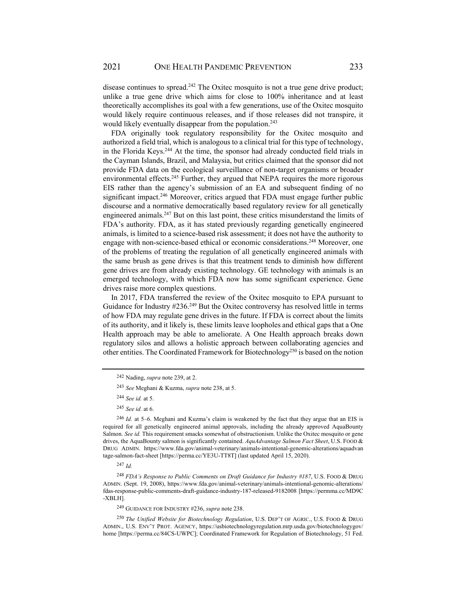disease continues to spread.<sup>242</sup> The Oxitec mosquito is not a true gene drive product; unlike a true gene drive which aims for close to 100% inheritance and at least theoretically accomplishes its goal with a few generations, use of the Oxitec mosquito would likely require continuous releases, and if those releases did not transpire, it would likely eventually disappear from the population.<sup>243</sup>

FDA originally took regulatory responsibility for the Oxitec mosquito and authorized a field trial, which is analogous to a clinical trial for this type of technology, in the Florida Keys.244 At the time, the sponsor had already conducted field trials in the Cayman Islands, Brazil, and Malaysia, but critics claimed that the sponsor did not provide FDA data on the ecological surveillance of non-target organisms or broader environmental effects.<sup>245</sup> Further, they argued that NEPA requires the more rigorous EIS rather than the agency's submission of an EA and subsequent finding of no significant impact.<sup>246</sup> Moreover, critics argued that FDA must engage further public discourse and a normative democratically based regulatory review for all genetically engineered animals.<sup>247</sup> But on this last point, these critics misunderstand the limits of FDA's authority. FDA, as it has stated previously regarding genetically engineered animals, is limited to a science-based risk assessment; it does not have the authority to engage with non-science-based ethical or economic considerations.<sup>248</sup> Moreover, one of the problems of treating the regulation of all genetically engineered animals with the same brush as gene drives is that this treatment tends to diminish how different gene drives are from already existing technology. GE technology with animals is an emerged technology, with which FDA now has some significant experience. Gene drives raise more complex questions.

In 2017, FDA transferred the review of the Oxitec mosquito to EPA pursuant to Guidance for Industry  $\#236.^{249}$  But the Oxitec controversy has resolved little in terms of how FDA may regulate gene drives in the future. If FDA is correct about the limits of its authority, and it likely is, these limits leave loopholes and ethical gaps that a One Health approach may be able to ameliorate. A One Health approach breaks down regulatory silos and allows a holistic approach between collaborating agencies and other entities. The Coordinated Framework for Biotechnology<sup>250</sup> is based on the notion

<sup>242</sup>Nading, *supra* note 239, at 2.

<sup>243</sup> *See* Meghani & Kuzma, *supra* note 238, at 5.

<sup>244</sup> *See id.* at 5.

<sup>245</sup> *See id.* at 6.

<sup>246</sup> *Id.* at 5–6. Meghani and Kuzma's claim is weakened by the fact that they argue that an EIS is required for all genetically engineered animal approvals, including the already approved AquaBounty Salmon. *See id.* This requirement smacks somewhat of obstructionism. Unlike the Oxitec mosquito or gene drives, the AquaBounty salmon is significantly contained. *AquAdvantage Salmon Fact Sheet*, U.S. FOOD & DRUG ADMIN. https://www.fda.gov/animal-veterinary/animals-intentional-genomic-alterations/aquadvan tage-salmon-fact-sheet [https://perma.cc/YE3U-TT8T] (last updated April 15, 2020).

<sup>247</sup> *Id.*

<sup>248</sup> *FDA's Response to Public Comments on Draft Guidance for Industry #187*, U.S. FOOD & DRUG ADMIN. (Sept. 19, 2008), https://www.fda.gov/animal-veterinary/animals-intentional-genomic-alterations/ fdas-response-public-comments-draft-guidance-industry-187-released-9182008 [https://permma.cc/MD9C -XBLH].

<sup>249</sup> GUIDANCE FOR INDUSTRY #236, *supra* note 238.

<sup>250</sup> *The Unified Website for Biotechnology Regulation*, U.S. DEP'T OF AGRIC., U.S. FOOD & DRUG ADMIN., U.S. ENV'T PROT. AGENCY, https://usbiotechnologyregulation.mrp.usda.gov/biotechnologygov/ home [https://perma.cc/84CS-UWPC]; Coordinated Framework for Regulation of Biotechnology, 51 Fed.